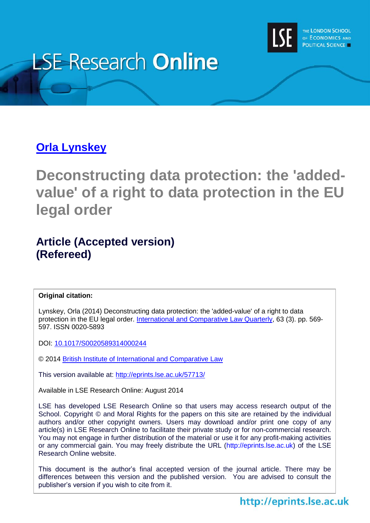

# **LSE Research Online**

# **Orla [Lynskey](http://www.lse.ac.uk/researchAndExpertise/Experts/profile.aspx?KeyValue=o.lynskey@lse.ac.uk)**

**Deconstructing data protection: the 'addedvalue' of a right to data protection in the EU legal order**

# **Article (Accepted version) (Refereed)**

#### **Original citation:**

Lynskey, Orla (2014) Deconstructing data protection: the 'added-value' of a right to data protection in the EU legal order. [International and Comparative Law Quarterly,](http://journals.cambridge.org/) 63 (3). pp. 569- 597. ISSN 0020-5893

DOI:<10.1017/S0020589314000244>

© 2014 [British Institute of International and Comparative Law](http://www.biicl.org/)

This version available at:<http://eprints.lse.ac.uk/57713/>

Available in LSE Research Online: August 2014

LSE has developed LSE Research Online so that users may access research output of the School. Copyright © and Moral Rights for the papers on this site are retained by the individual authors and/or other copyright owners. Users may download and/or print one copy of any article(s) in LSE Research Online to facilitate their private study or for non-commercial research. You may not engage in further distribution of the material or use it for any profit-making activities or any commercial gain. You may freely distribute the URL (http://eprints.lse.ac.uk) of the LSE Research Online website.

This document is the author's final accepted version of the journal article. There may be differences between this version and the published version. You are advised to consult the publisher's version if you wish to cite from it.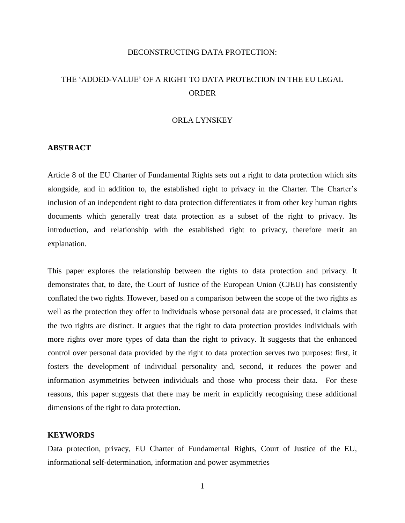#### DECONSTRUCTING DATA PROTECTION:

## THE 'ADDED-VALUE' OF A RIGHT TO DATA PROTECTION IN THE EU LEGAL ORDER

#### ORLA LYNSKEY

#### **ABSTRACT**

Article 8 of the EU Charter of Fundamental Rights sets out a right to data protection which sits alongside, and in addition to, the established right to privacy in the Charter. The Charter's inclusion of an independent right to data protection differentiates it from other key human rights documents which generally treat data protection as a subset of the right to privacy. Its introduction, and relationship with the established right to privacy, therefore merit an explanation.

This paper explores the relationship between the rights to data protection and privacy. It demonstrates that, to date, the Court of Justice of the European Union (CJEU) has consistently conflated the two rights. However, based on a comparison between the scope of the two rights as well as the protection they offer to individuals whose personal data are processed, it claims that the two rights are distinct. It argues that the right to data protection provides individuals with more rights over more types of data than the right to privacy. It suggests that the enhanced control over personal data provided by the right to data protection serves two purposes: first, it fosters the development of individual personality and, second, it reduces the power and information asymmetries between individuals and those who process their data. For these reasons, this paper suggests that there may be merit in explicitly recognising these additional dimensions of the right to data protection.

#### **KEYWORDS**

Data protection, privacy, EU Charter of Fundamental Rights, Court of Justice of the EU, informational self-determination, information and power asymmetries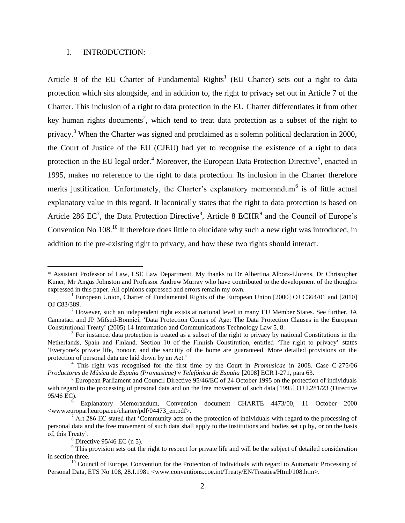#### I. INTRODUCTION:

Article 8 of the EU Charter of Fundamental Rights<sup>1</sup> (EU Charter) sets out a right to data protection which sits alongside, and in addition to, the right to privacy set out in Article 7 of the Charter. This inclusion of a right to data protection in the EU Charter differentiates it from other key human rights documents<sup>2</sup>, which tend to treat data protection as a subset of the right to privacy.<sup>3</sup> When the Charter was signed and proclaimed as a solemn political declaration in 2000, the Court of Justice of the EU (CJEU) had yet to recognise the existence of a right to data protection in the EU legal order.<sup>4</sup> Moreover, the European Data Protection Directive<sup>5</sup>, enacted in 1995, makes no reference to the right to data protection. Its inclusion in the Charter therefore merits justification. Unfortunately, the Charter's explanatory memorandum<sup>6</sup> is of little actual explanatory value in this regard. It laconically states that the right to data protection is based on Article 286  $EC^7$ , the Data Protection Directive<sup>8</sup>, Article 8 ECHR<sup>9</sup> and the Council of Europe's Convention No  $108<sup>10</sup>$  It therefore does little to elucidate why such a new right was introduced, in addition to the pre-existing right to privacy, and how these two rights should interact.

<sup>\*</sup> Assistant Professor of Law, LSE Law Department. My thanks to Dr Albertina Albors-Llorens, Dr Christopher Kuner, Mr Angus Johnston and Professor Andrew Murray who have contributed to the development of the thoughts expressed in this paper. All opinions expressed and errors remain my own.

<sup>&</sup>lt;sup>1</sup> European Union, Charter of Fundamental Rights of the European Union [2000] OJ C364/01 and [2010] OJ C83/389.

 $<sup>2</sup>$  However, such an independent right exists at national level in many EU Member States. See further, JA</sup> Cannataci and JP Mifsud-Bonnici, 'Data Protection Comes of Age: The Data Protection Clauses in the European Constitutional Treaty' (2005) 14 Information and Communications Technology Law 5, 8.

<sup>&</sup>lt;sup>3</sup> For instance, data protection is treated as a subset of the right to privacy by national Constitutions in the Netherlands, Spain and Finland. Section 10 of the Finnish Constitution, entitled 'The right to privacy' states 'Everyone's private life, honour, and the sanctity of the home are guaranteed. More detailed provisions on the protection of personal data are laid down by an Act.'

<sup>4</sup> This right was recognised for the first time by the Court in *Promusicae* in 2008. Case C-275/06 *Productores de Música de España (Promusicae) v Telefónica de España* [2008] ECR I-271, para 63.

<sup>5</sup> European Parliament and Council Directive 95/46/EC of 24 October 1995 on the protection of individuals with regard to the processing of personal data and on the free movement of such data [1995] OJ L281/23 (Directive 95/46 EC).

<sup>6</sup> Explanatory Memorandum, Convention document CHARTE 4473/00, 11 October 2000 <www.europarl.europa.eu/charter/pdf/04473\_en.pdf>.

 $7$  Art 286 EC stated that 'Community acts on the protection of individuals with regard to the processing of personal data and the free movement of such data shall apply to the institutions and bodies set up by, or on the basis of, this Treaty'.

 $8$  Directive 95/46 EC (n 5).

 $9$  This provision sets out the right to respect for private life and will be the subject of detailed consideration in section three.

<sup>&</sup>lt;sup>10</sup> Council of Europe, Convention for the Protection of Individuals with regard to Automatic Processing of Personal Data, ETS No 108, 28.I.1981 <www.conventions.coe.int/Treaty/EN/Treaties/Html/108.htm>.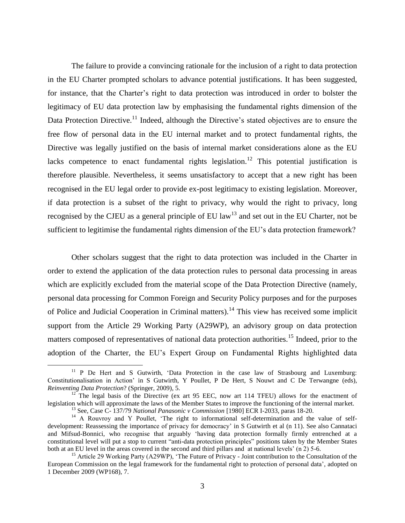The failure to provide a convincing rationale for the inclusion of a right to data protection in the EU Charter prompted scholars to advance potential justifications. It has been suggested, for instance, that the Charter's right to data protection was introduced in order to bolster the legitimacy of EU data protection law by emphasising the fundamental rights dimension of the Data Protection Directive.<sup>11</sup> Indeed, although the Directive's stated objectives are to ensure the free flow of personal data in the EU internal market and to protect fundamental rights, the Directive was legally justified on the basis of internal market considerations alone as the EU lacks competence to enact fundamental rights legislation.<sup>12</sup> This potential justification is therefore plausible. Nevertheless, it seems unsatisfactory to accept that a new right has been recognised in the EU legal order to provide ex-post legitimacy to existing legislation. Moreover, if data protection is a subset of the right to privacy, why would the right to privacy, long recognised by the CJEU as a general principle of EU law<sup>13</sup> and set out in the EU Charter, not be sufficient to legitimise the fundamental rights dimension of the EU's data protection framework?

Other scholars suggest that the right to data protection was included in the Charter in order to extend the application of the data protection rules to personal data processing in areas which are explicitly excluded from the material scope of the Data Protection Directive (namely, personal data processing for Common Foreign and Security Policy purposes and for the purposes of Police and Judicial Cooperation in Criminal matters).<sup>14</sup> This view has received some implicit support from the Article 29 Working Party (A29WP), an advisory group on data protection matters composed of representatives of national data protection authorities.<sup>15</sup> Indeed, prior to the adoption of the Charter, the EU's Expert Group on Fundamental Rights highlighted data

<sup>&</sup>lt;sup>11</sup> P De Hert and S Gutwirth, 'Data Protection in the case law of Strasbourg and Luxemburg: Constitutionalisation in Action' in S Gutwirth, Y Poullet, P De Hert, S Nouwt and C De Terwangne (eds), *Reinventing Data Protection*? (Springer, 2009), 5.

 $12^{12}$  The legal basis of the Directive (ex art 95 EEC, now art 114 TFEU) allows for the enactment of legislation which will approximate the laws of the Member States to improve the functioning of the internal market. <sup>13</sup> See, Case C- 137/79 *National Panasonic v Commission* [1980] ECR I-2033, paras 18-20.

<sup>&</sup>lt;sup>14</sup> A Rouvroy and Y Poullet, 'The right to informational self-determination and the value of selfdevelopment: Reassessing the importance of privacy for democracy' in S Gutwirth et al (n 11). See also Cannataci and Mifsud-Bonnici, who recognise that arguably 'having data protection formally firmly entrenched at a constitutional level will put a stop to current "anti-data protection principles" positions taken by the Member States both at an EU level in the areas covered in the second and third pillars and at national levels' (n 2) 5-6.

<sup>&</sup>lt;sup>15</sup> Article 29 Working Party (A29WP), 'The Future of Privacy - Joint contribution to the Consultation of the European Commission on the legal framework for the fundamental right to protection of personal data', adopted on 1 December 2009 (WP168), 7.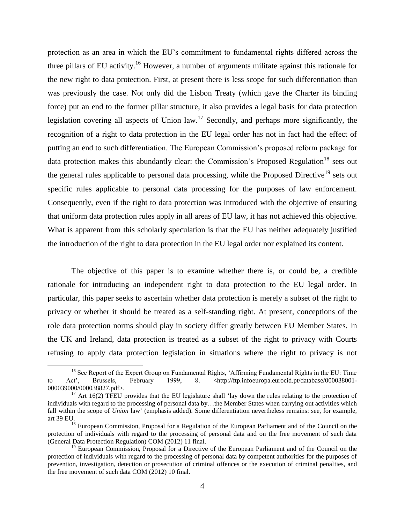protection as an area in which the EU's commitment to fundamental rights differed across the three pillars of EU activity.<sup>16</sup> However, a number of arguments militate against this rationale for the new right to data protection. First, at present there is less scope for such differentiation than was previously the case. Not only did the Lisbon Treaty (which gave the Charter its binding force) put an end to the former pillar structure, it also provides a legal basis for data protection legislation covering all aspects of Union law.<sup>17</sup> Secondly, and perhaps more significantly, the recognition of a right to data protection in the EU legal order has not in fact had the effect of putting an end to such differentiation. The European Commission's proposed reform package for data protection makes this abundantly clear: the Commission's Proposed Regulation<sup>18</sup> sets out the general rules applicable to personal data processing, while the Proposed Directive<sup>19</sup> sets out specific rules applicable to personal data processing for the purposes of law enforcement. Consequently, even if the right to data protection was introduced with the objective of ensuring that uniform data protection rules apply in all areas of EU law, it has not achieved this objective. What is apparent from this scholarly speculation is that the EU has neither adequately justified the introduction of the right to data protection in the EU legal order nor explained its content.

The objective of this paper is to examine whether there is, or could be, a credible rationale for introducing an independent right to data protection to the EU legal order. In particular, this paper seeks to ascertain whether data protection is merely a subset of the right to privacy or whether it should be treated as a self-standing right. At present, conceptions of the role data protection norms should play in society differ greatly between EU Member States. In the UK and Ireland, data protection is treated as a subset of the right to privacy with Courts refusing to apply data protection legislation in situations where the right to privacy is not

<sup>&</sup>lt;sup>16</sup> See Report of the Expert Group on Fundamental Rights, 'Affirming Fundamental Rights in the EU: Time to Act', Brussels, February 1999, 8. <http://ftp.infoeuropa.eurocid.pt/database/000038001-000039000/000038827.pdf>.

 $17$  Art 16(2) TFEU provides that the EU legislature shall 'lay down the rules relating to the protection of individuals with regard to the processing of personal data by…the Member States when carrying out activities which fall within the scope of *Union* law' (emphasis added). Some differentiation nevertheless remains: see, for example, art 39 EU.

<sup>&</sup>lt;sup>18</sup> European Commission, Proposal for a Regulation of the European Parliament and of the Council on the protection of individuals with regard to the processing of personal data and on the free movement of such data (General Data Protection Regulation) COM (2012) 11 final.

<sup>&</sup>lt;sup>19</sup> European Commission, Proposal for a Directive of the European Parliament and of the Council on the protection of individuals with regard to the processing of personal data by competent authorities for the purposes of prevention, investigation, detection or prosecution of criminal offences or the execution of criminal penalties, and the free movement of such data COM (2012) 10 final.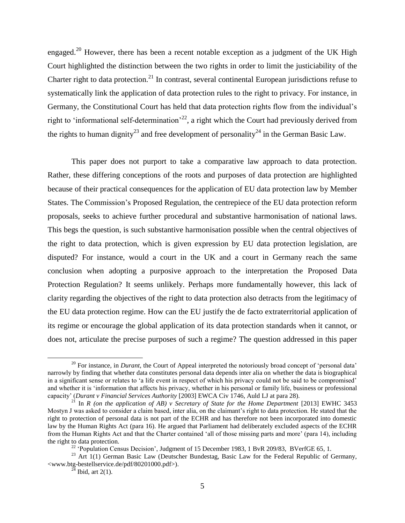engaged.<sup>20</sup> However, there has been a recent notable exception as a judgment of the UK High Court highlighted the distinction between the two rights in order to limit the justiciability of the Charter right to data protection.<sup>21</sup> In contrast, several continental European jurisdictions refuse to systematically link the application of data protection rules to the right to privacy. For instance, in Germany, the Constitutional Court has held that data protection rights flow from the individual's right to 'informational self-determination'<sup>22</sup>, a right which the Court had previously derived from the rights to human dignity<sup>23</sup> and free development of personality<sup>24</sup> in the German Basic Law.

This paper does not purport to take a comparative law approach to data protection. Rather, these differing conceptions of the roots and purposes of data protection are highlighted because of their practical consequences for the application of EU data protection law by Member States. The Commission's Proposed Regulation, the centrepiece of the EU data protection reform proposals, seeks to achieve further procedural and substantive harmonisation of national laws. This begs the question, is such substantive harmonisation possible when the central objectives of the right to data protection, which is given expression by EU data protection legislation, are disputed? For instance, would a court in the UK and a court in Germany reach the same conclusion when adopting a purposive approach to the interpretation the Proposed Data Protection Regulation? It seems unlikely. Perhaps more fundamentally however, this lack of clarity regarding the objectives of the right to data protection also detracts from the legitimacy of the EU data protection regime. How can the EU justify the de facto extraterritorial application of its regime or encourage the global application of its data protection standards when it cannot, or does not, articulate the precise purposes of such a regime? The question addressed in this paper

<sup>&</sup>lt;sup>20</sup> For instance, in *Durant*, the Court of Appeal interpreted the notoriously broad concept of 'personal data' narrowly by finding that whether data constitutes personal data depends inter alia on whether the data is biographical in a significant sense or relates to 'a life event in respect of which his privacy could not be said to be compromised' and whether it is 'information that affects his privacy, whether in his personal or family life, business or professional capacity' (*Durant v Financial Services Authority* [2003] EWCA Civ 1746, Auld LJ at para 28).

In *R* (on the application of AB) v Secretary of State for the Home Department [2013] EWHC 3453 Mostyn J was asked to consider a claim based, inter alia, on the claimant's right to data protection. He stated that the right to protection of personal data is not part of the ECHR and has therefore not been incorporated into domestic law by the Human Rights Act (para 16). He argued that Parliament had deliberately excluded aspects of the ECHR from the Human Rights Act and that the Charter contained 'all of those missing parts and more' (para 14), including the right to data protection.

<sup>&</sup>lt;sup>22</sup> 'Population Census Decision', Judgment of 15 December 1983, 1 BvR 209/83, BVerfGE 65, 1.

<sup>&</sup>lt;sup>23</sup> Art 1(1) German Basic Law (Deutscher Bundestag, Basic Law for the Federal Republic of Germany, <www.btg-bestellservice.de/pdf/80201000.pdf>).

 $^{24}$  Ibid, art 2(1).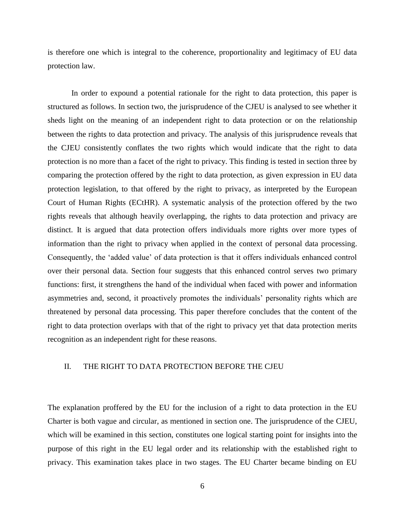is therefore one which is integral to the coherence, proportionality and legitimacy of EU data protection law.

In order to expound a potential rationale for the right to data protection, this paper is structured as follows. In section two, the jurisprudence of the CJEU is analysed to see whether it sheds light on the meaning of an independent right to data protection or on the relationship between the rights to data protection and privacy. The analysis of this jurisprudence reveals that the CJEU consistently conflates the two rights which would indicate that the right to data protection is no more than a facet of the right to privacy. This finding is tested in section three by comparing the protection offered by the right to data protection, as given expression in EU data protection legislation, to that offered by the right to privacy, as interpreted by the European Court of Human Rights (ECtHR). A systematic analysis of the protection offered by the two rights reveals that although heavily overlapping, the rights to data protection and privacy are distinct. It is argued that data protection offers individuals more rights over more types of information than the right to privacy when applied in the context of personal data processing. Consequently, the 'added value' of data protection is that it offers individuals enhanced control over their personal data. Section four suggests that this enhanced control serves two primary functions: first, it strengthens the hand of the individual when faced with power and information asymmetries and, second, it proactively promotes the individuals' personality rights which are threatened by personal data processing. This paper therefore concludes that the content of the right to data protection overlaps with that of the right to privacy yet that data protection merits recognition as an independent right for these reasons.

#### II. THE RIGHT TO DATA PROTECTION BEFORE THE CJEU

The explanation proffered by the EU for the inclusion of a right to data protection in the EU Charter is both vague and circular, as mentioned in section one. The jurisprudence of the CJEU, which will be examined in this section, constitutes one logical starting point for insights into the purpose of this right in the EU legal order and its relationship with the established right to privacy. This examination takes place in two stages. The EU Charter became binding on EU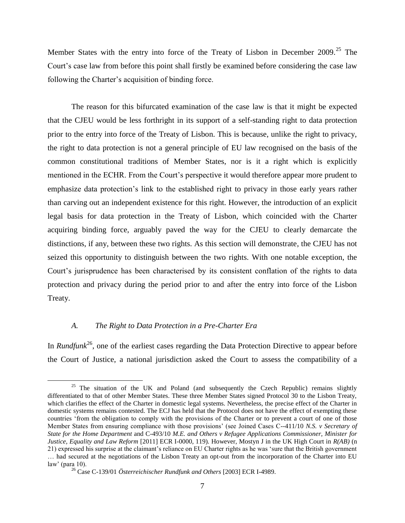Member States with the entry into force of the Treaty of Lisbon in December  $2009$ <sup>25</sup>. The Court's case law from before this point shall firstly be examined before considering the case law following the Charter's acquisition of binding force.

The reason for this bifurcated examination of the case law is that it might be expected that the CJEU would be less forthright in its support of a self-standing right to data protection prior to the entry into force of the Treaty of Lisbon. This is because, unlike the right to privacy, the right to data protection is not a general principle of EU law recognised on the basis of the common constitutional traditions of Member States, nor is it a right which is explicitly mentioned in the ECHR. From the Court's perspective it would therefore appear more prudent to emphasize data protection's link to the established right to privacy in those early years rather than carving out an independent existence for this right. However, the introduction of an explicit legal basis for data protection in the Treaty of Lisbon, which coincided with the Charter acquiring binding force, arguably paved the way for the CJEU to clearly demarcate the distinctions, if any, between these two rights. As this section will demonstrate, the CJEU has not seized this opportunity to distinguish between the two rights. With one notable exception, the Court's jurisprudence has been characterised by its consistent conflation of the rights to data protection and privacy during the period prior to and after the entry into force of the Lisbon Treaty.

#### *A. The Right to Data Protection in a Pre-Charter Era*

 $\overline{a}$ 

In *Rundfunk*<sup>26</sup>, one of the earliest cases regarding the Data Protection Directive to appear before the Court of Justice, a national jurisdiction asked the Court to assess the compatibility of a

<sup>&</sup>lt;sup>25</sup> The situation of the UK and Poland (and subsequently the Czech Republic) remains slightly differentiated to that of other Member States. These three Member States signed Protocol 30 to the Lisbon Treaty, which clarifies the effect of the Charter in domestic legal systems. Nevertheless, the precise effect of the Charter in domestic systems remains contested. The ECJ has held that the Protocol does not have the effect of exempting these countries 'from the obligation to comply with the provisions of the Charter or to prevent a court of one of those Member States from ensuring compliance with those provisions' (see Joined Cases C--411/10 *N.S. v Secretary of State for the Home Department* and C-493/10 *M.E. and Others v Refugee Applications Commissioner, Minister for Justice, Equality and Law Reform* [2011] ECR I-0000, 119). However, Mostyn J in the UK High Court in *R(AB)* (n 21) expressed his surprise at the claimant's reliance on EU Charter rights as he was 'sure that the British government … had secured at the negotiations of the Lisbon Treaty an opt-out from the incorporation of the Charter into EU law' (para 10).

<sup>26</sup> Case C-139/01 *Österreichischer Rundfunk and Others* [2003] ECR I-4989.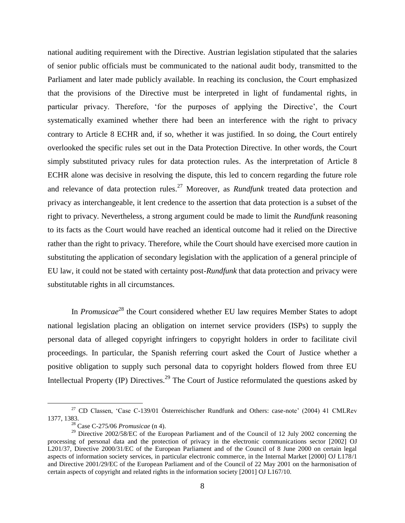national auditing requirement with the Directive. Austrian legislation stipulated that the salaries of senior public officials must be communicated to the national audit body, transmitted to the Parliament and later made publicly available. In reaching its conclusion, the Court emphasized that the provisions of the Directive must be interpreted in light of fundamental rights, in particular privacy. Therefore, 'for the purposes of applying the Directive', the Court systematically examined whether there had been an interference with the right to privacy contrary to Article 8 ECHR and, if so, whether it was justified. In so doing, the Court entirely overlooked the specific rules set out in the Data Protection Directive. In other words, the Court simply substituted privacy rules for data protection rules. As the interpretation of Article 8 ECHR alone was decisive in resolving the dispute, this led to concern regarding the future role and relevance of data protection rules. <sup>27</sup> Moreover, as *Rundfunk* treated data protection and privacy as interchangeable, it lent credence to the assertion that data protection is a subset of the right to privacy. Nevertheless, a strong argument could be made to limit the *Rundfunk* reasoning to its facts as the Court would have reached an identical outcome had it relied on the Directive rather than the right to privacy. Therefore, while the Court should have exercised more caution in substituting the application of secondary legislation with the application of a general principle of EU law, it could not be stated with certainty post-*Rundfunk* that data protection and privacy were substitutable rights in all circumstances.

In *Promusicae*<sup>28</sup> the Court considered whether EU law requires Member States to adopt national legislation placing an obligation on internet service providers (ISPs) to supply the personal data of alleged copyright infringers to copyright holders in order to facilitate civil proceedings. In particular, the Spanish referring court asked the Court of Justice whether a positive obligation to supply such personal data to copyright holders flowed from three EU Intellectual Property (IP) Directives.<sup>29</sup> The Court of Justice reformulated the questions asked by

<sup>27</sup> CD Classen, 'Case C-139/01 Österreichischer Rundfunk and Others: case-note' (2004) 41 CMLRev 1377, 1383.

<sup>28</sup> Case C-275/06 *Promusicae* (n 4).

<sup>&</sup>lt;sup>29</sup> Directive 2002/58/EC of the European Parliament and of the Council of 12 July 2002 concerning the processing of personal data and the protection of privacy in the electronic communications sector [2002] OJ L201/37, Directive 2000/31/EC of the European Parliament and of the Council of 8 June 2000 on certain legal aspects of information society services, in particular electronic commerce, in the Internal Market [2000] OJ L178/1 and Directive 2001/29/EC of the European Parliament and of the Council of 22 May 2001 on the harmonisation of certain aspects of copyright and related rights in the information society [2001] OJ L167/10.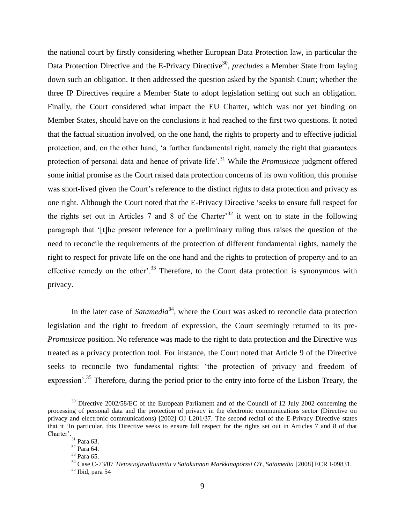the national court by firstly considering whether European Data Protection law, in particular the Data Protection Directive and the E-Privacy Directive<sup>30</sup>, *precludes* a Member State from laying down such an obligation. It then addressed the question asked by the Spanish Court; whether the three IP Directives require a Member State to adopt legislation setting out such an obligation. Finally, the Court considered what impact the EU Charter, which was not yet binding on Member States, should have on the conclusions it had reached to the first two questions. It noted that the factual situation involved, on the one hand, the rights to property and to effective judicial protection, and, on the other hand, 'a further fundamental right, namely the right that guarantees protection of personal data and hence of private life'.<sup>31</sup> While the *Promusicae* judgment offered some initial promise as the Court raised data protection concerns of its own volition, this promise was short-lived given the Court's reference to the distinct rights to data protection and privacy as one right. Although the Court noted that the E-Privacy Directive 'seeks to ensure full respect for the rights set out in Articles 7 and 8 of the Charter<sup>32</sup> it went on to state in the following paragraph that '[t]he present reference for a preliminary ruling thus raises the question of the need to reconcile the requirements of the protection of different fundamental rights, namely the right to respect for private life on the one hand and the rights to protection of property and to an effective remedy on the other'.<sup>33</sup> Therefore, to the Court data protection is synonymous with privacy.

In the later case of *Satamedia*<sup>34</sup>, where the Court was asked to reconcile data protection legislation and the right to freedom of expression, the Court seemingly returned to its pre-*Promusicae* position. No reference was made to the right to data protection and the Directive was treated as a privacy protection tool. For instance, the Court noted that Article 9 of the Directive seeks to reconcile two fundamental rights: 'the protection of privacy and freedom of expression'.<sup>35</sup> Therefore, during the period prior to the entry into force of the Lisbon Treary, the

<sup>&</sup>lt;sup>30</sup> Directive 2002/58/EC of the European Parliament and of the Council of 12 July 2002 concerning the processing of personal data and the protection of privacy in the electronic communications sector (Directive on privacy and electronic communications) [2002] OJ L201/37. The second recital of the E-Privacy Directive states that it 'In particular, this Directive seeks to ensure full respect for the rights set out in Articles 7 and 8 of that Charter'.

 $31$  Para 63.

<sup>32</sup> Para 64.

<sup>33</sup> Para 65.

<sup>34</sup> Case C-73/07 *Tietosuojavaltuutettu v Satakunnan Markkinapörssi OY, Satamedia* [2008] ECR I-09831.

 $35$  Ibid, para 54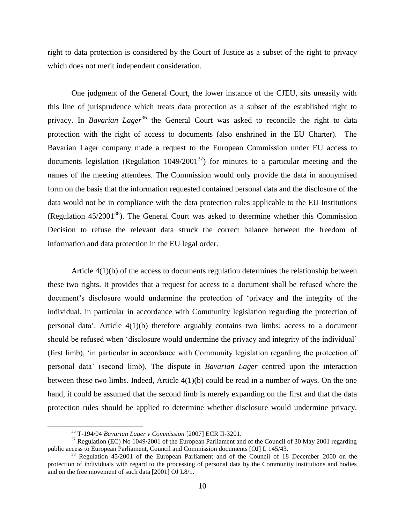right to data protection is considered by the Court of Justice as a subset of the right to privacy which does not merit independent consideration.

One judgment of the General Court, the lower instance of the CJEU, sits uneasily with this line of jurisprudence which treats data protection as a subset of the established right to privacy. In *Bavarian Lager*<sup>36</sup> the General Court was asked to reconcile the right to data protection with the right of access to documents (also enshrined in the EU Charter). The Bavarian Lager company made a request to the European Commission under EU access to documents legislation (Regulation  $1049/2001^{37}$ ) for minutes to a particular meeting and the names of the meeting attendees. The Commission would only provide the data in anonymised form on the basis that the information requested contained personal data and the disclosure of the data would not be in compliance with the data protection rules applicable to the EU Institutions (Regulation  $45/2001^{38}$ ). The General Court was asked to determine whether this Commission Decision to refuse the relevant data struck the correct balance between the freedom of information and data protection in the EU legal order.

Article 4(1)(b) of the access to documents regulation determines the relationship between these two rights. It provides that a request for access to a document shall be refused where the document's disclosure would undermine the protection of 'privacy and the integrity of the individual, in particular in accordance with Community legislation regarding the protection of personal data'. Article 4(1)(b) therefore arguably contains two limbs: access to a document should be refused when 'disclosure would undermine the privacy and integrity of the individual' (first limb), 'in particular in accordance with Community legislation regarding the protection of personal data' (second limb). The dispute in *Bavarian Lager* centred upon the interaction between these two limbs. Indeed, Article 4(1)(b) could be read in a number of ways. On the one hand, it could be assumed that the second limb is merely expanding on the first and that the data protection rules should be applied to determine whether disclosure would undermine privacy.

<sup>36</sup> T-194/04 *Bavarian Lager v Commission* [2007] ECR II-3201.

<sup>&</sup>lt;sup>37</sup> Regulation (EC) No 1049/2001 of the European Parliament and of the Council of 30 May 2001 regarding public access to European Parliament, Council and Commission documents [OJ] L 145/43.

<sup>38</sup> Regulation 45/2001 of the European Parliament and of the Council of 18 December 2000 on the protection of individuals with regard to the processing of personal data by the Community institutions and bodies and on the free movement of such data [2001] OJ L8/1.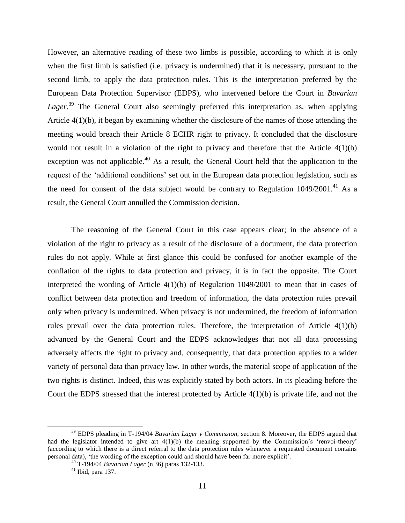However, an alternative reading of these two limbs is possible, according to which it is only when the first limb is satisfied (i.e. privacy is undermined) that it is necessary, pursuant to the second limb, to apply the data protection rules. This is the interpretation preferred by the European Data Protection Supervisor (EDPS), who intervened before the Court in *Bavarian Lager*. <sup>39</sup> The General Court also seemingly preferred this interpretation as, when applying Article 4(1)(b), it began by examining whether the disclosure of the names of those attending the meeting would breach their Article 8 ECHR right to privacy. It concluded that the disclosure would not result in a violation of the right to privacy and therefore that the Article 4(1)(b) exception was not applicable.<sup>40</sup> As a result, the General Court held that the application to the request of the 'additional conditions' set out in the European data protection legislation, such as the need for consent of the data subject would be contrary to Regulation  $1049/2001$ .<sup>41</sup> As a result, the General Court annulled the Commission decision.

The reasoning of the General Court in this case appears clear; in the absence of a violation of the right to privacy as a result of the disclosure of a document, the data protection rules do not apply. While at first glance this could be confused for another example of the conflation of the rights to data protection and privacy, it is in fact the opposite. The Court interpreted the wording of Article 4(1)(b) of Regulation 1049/2001 to mean that in cases of conflict between data protection and freedom of information, the data protection rules prevail only when privacy is undermined. When privacy is not undermined, the freedom of information rules prevail over the data protection rules. Therefore, the interpretation of Article 4(1)(b) advanced by the General Court and the EDPS acknowledges that not all data processing adversely affects the right to privacy and, consequently, that data protection applies to a wider variety of personal data than privacy law. In other words, the material scope of application of the two rights is distinct. Indeed, this was explicitly stated by both actors. In its pleading before the Court the EDPS stressed that the interest protected by Article  $4(1)(b)$  is private life, and not the

<sup>39</sup> EDPS pleading in T-194/04 *Bavarian Lager v Commission*, section 8. Moreover, the EDPS argued that had the legislator intended to give art  $4(1)(b)$  the meaning supported by the Commission's 'renvoi-theory' (according to which there is a direct referral to the data protection rules whenever a requested document contains personal data), 'the wording of the exception could and should have been far more explicit'.

<sup>40</sup> T-194/04 *Bavarian Lager* (n 36) paras 132-133.

 $41$  Ibid, para 137.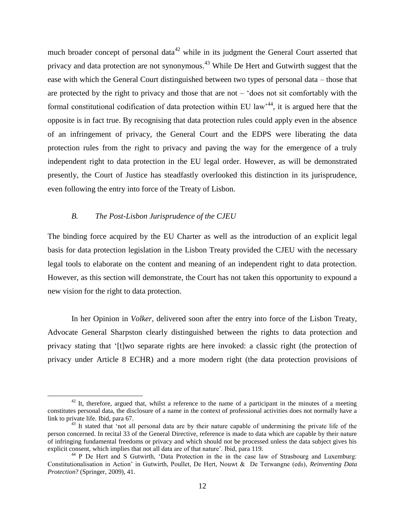much broader concept of personal data<sup>42</sup> while in its judgment the General Court asserted that privacy and data protection are not synonymous.<sup>43</sup> While De Hert and Gutwirth suggest that the ease with which the General Court distinguished between two types of personal data – those that are protected by the right to privacy and those that are not  $-$  'does not sit comfortably with the formal constitutional codification of data protection within EU law<sup>44</sup>, it is argued here that the opposite is in fact true. By recognising that data protection rules could apply even in the absence of an infringement of privacy, the General Court and the EDPS were liberating the data protection rules from the right to privacy and paving the way for the emergence of a truly independent right to data protection in the EU legal order. However, as will be demonstrated presently, the Court of Justice has steadfastly overlooked this distinction in its jurisprudence, even following the entry into force of the Treaty of Lisbon.

#### *B. The Post-Lisbon Jurisprudence of the CJEU*

 $\overline{a}$ 

The binding force acquired by the EU Charter as well as the introduction of an explicit legal basis for data protection legislation in the Lisbon Treaty provided the CJEU with the necessary legal tools to elaborate on the content and meaning of an independent right to data protection. However, as this section will demonstrate, the Court has not taken this opportunity to expound a new vision for the right to data protection.

In her Opinion in *Volker*, delivered soon after the entry into force of the Lisbon Treaty, Advocate General Sharpston clearly distinguished between the rights to data protection and privacy stating that '[t]wo separate rights are here invoked: a classic right (the protection of privacy under Article 8 ECHR) and a more modern right (the data protection provisions of

 $42$  It, therefore, argued that, whilst a reference to the name of a participant in the minutes of a meeting constitutes personal data, the disclosure of a name in the context of professional activities does not normally have a link to private life. Ibid, para 67.

<sup>&</sup>lt;sup>43</sup> It stated that 'not all personal data are by their nature capable of undermining the private life of the person concerned. In recital 33 of the General Directive, reference is made to data which are capable by their nature of infringing fundamental freedoms or privacy and which should not be processed unless the data subject gives his explicit consent, which implies that not all data are of that nature'. Ibid, para 119.

<sup>44</sup> P De Hert and S Gutwirth, 'Data Protection in the in the case law of Strasbourg and Luxemburg: Constitutionalisation in Action' in Gutwirth, Poullet, De Hert, Nouwt & De Terwangne (eds), *Reinventing Data Protection*? (Springer, 2009), 41.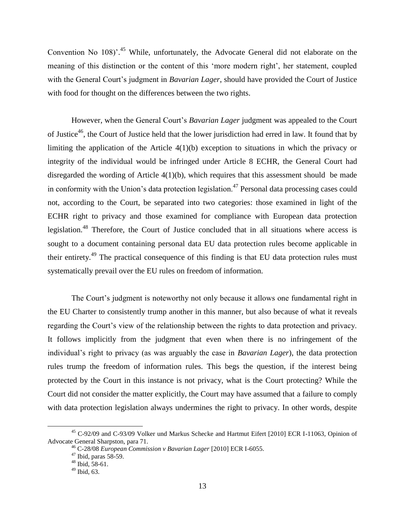Convention No 108)<sup>2</sup>.<sup>45</sup> While, unfortunately, the Advocate General did not elaborate on the meaning of this distinction or the content of this 'more modern right', her statement, coupled with the General Court's judgment in *Bavarian Lager*, should have provided the Court of Justice with food for thought on the differences between the two rights.

However, when the General Court's *Bavarian Lager* judgment was appealed to the Court of Justice<sup>46</sup>, the Court of Justice held that the lower jurisdiction had erred in law. It found that by limiting the application of the Article 4(1)(b) exception to situations in which the privacy or integrity of the individual would be infringed under Article 8 ECHR, the General Court had disregarded the wording of Article 4(1)(b), which requires that this assessment should be made in conformity with the Union's data protection legislation.<sup>47</sup> Personal data processing cases could not, according to the Court, be separated into two categories: those examined in light of the ECHR right to privacy and those examined for compliance with European data protection legislation.<sup>48</sup> Therefore, the Court of Justice concluded that in all situations where access is sought to a document containing personal data EU data protection rules become applicable in their entirety.<sup>49</sup> The practical consequence of this finding is that EU data protection rules must systematically prevail over the EU rules on freedom of information.

The Court's judgment is noteworthy not only because it allows one fundamental right in the EU Charter to consistently trump another in this manner, but also because of what it reveals regarding the Court's view of the relationship between the rights to data protection and privacy. It follows implicitly from the judgment that even when there is no infringement of the individual's right to privacy (as was arguably the case in *Bavarian Lager*), the data protection rules trump the freedom of information rules. This begs the question, if the interest being protected by the Court in this instance is not privacy, what is the Court protecting? While the Court did not consider the matter explicitly, the Court may have assumed that a failure to comply with data protection legislation always undermines the right to privacy. In other words, despite

<sup>45</sup> C-92/09 and C-93/09 Volker und Markus Schecke and Hartmut Eifert [2010] ECR I-11063, Opinion of Advocate General Sharpston, para 71.

<sup>46</sup> C-28/08 *European Commission v Bavarian Lager* [2010] ECR I-6055.

 $47$  Ibid, paras 58-59.

 $48$  Ibid, 58-61.

 $49$  Ibid, 63.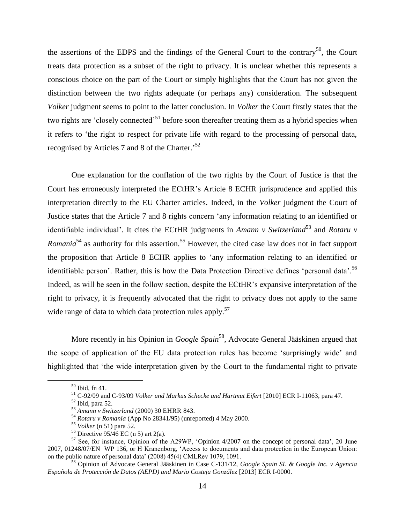the assertions of the EDPS and the findings of the General Court to the contrary<sup>50</sup>, the Court treats data protection as a subset of the right to privacy. It is unclear whether this represents a conscious choice on the part of the Court or simply highlights that the Court has not given the distinction between the two rights adequate (or perhaps any) consideration. The subsequent *Volker* judgment seems to point to the latter conclusion. In *Volker* the Court firstly states that the two rights are 'closely connected'<sup>51</sup> before soon thereafter treating them as a hybrid species when it refers to 'the right to respect for private life with regard to the processing of personal data, recognised by Articles 7 and 8 of the Charter.<sup>52</sup>

One explanation for the conflation of the two rights by the Court of Justice is that the Court has erroneously interpreted the ECtHR's Article 8 ECHR jurisprudence and applied this interpretation directly to the EU Charter articles. Indeed, in the *Volker* judgment the Court of Justice states that the Article 7 and 8 rights concern 'any information relating to an identified or identifiable individual'. It cites the ECtHR judgments in *Amann v Switzerland*<sup>53</sup> and *Rotaru v Romania*<sup>54</sup> as authority for this assertion.<sup>55</sup> However, the cited case law does not in fact support the proposition that Article 8 ECHR applies to 'any information relating to an identified or identifiable person'. Rather, this is how the Data Protection Directive defines 'personal data'.<sup>56</sup> Indeed, as will be seen in the follow section, despite the ECtHR's expansive interpretation of the right to privacy, it is frequently advocated that the right to privacy does not apply to the same wide range of data to which data protection rules apply.<sup>57</sup>

More recently in his Opinion in *Google Spain*<sup>58</sup>, Advocate General Jääskinen argued that the scope of application of the EU data protection rules has become 'surprisingly wide' and highlighted that 'the wide interpretation given by the Court to the fundamental right to private

<sup>50</sup> Ibid, fn 41.

<sup>51</sup> C-92/09 and C-93/09 *Volker und Markus Schecke and Hartmut Eifert* [2010] ECR I-11063, para 47.

 $52$  Ibid, para 52.

<sup>53</sup> *Amann v Switzerland* (2000) 30 EHRR 843.

<sup>54</sup> *Rotaru v Romania* (App No 28341/95) (unreported) 4 May 2000.

<sup>55</sup> *Volker* (n 51) para 52.

<sup>&</sup>lt;sup>56</sup> Directive  $95/46$  EC (n 5) art 2(a).

<sup>57</sup> See, for instance, Opinion of the A29WP, 'Opinion 4/2007 on the concept of personal data', 20 June 2007, 01248/07/EN WP 136, or H Kranenborg, 'Access to documents and data protection in the European Union: on the public nature of personal data' (2008) 45(4) CMLRev 1079, 1091.

<sup>58</sup> Opinion of Advocate General Jääskinen in Case C-131/12, *Google Spain SL & Google Inc. v Agencia Española de Protección de Datos (AEPD) and Mario Costeja González* [2013] ECR I-0000.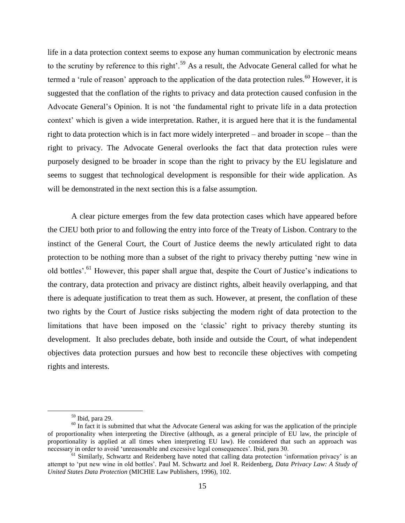life in a data protection context seems to expose any human communication by electronic means to the scrutiny by reference to this right'.<sup>59</sup> As a result, the Advocate General called for what he termed a 'rule of reason' approach to the application of the data protection rules.<sup>60</sup> However, it is suggested that the conflation of the rights to privacy and data protection caused confusion in the Advocate General's Opinion. It is not 'the fundamental right to private life in a data protection context' which is given a wide interpretation. Rather, it is argued here that it is the fundamental right to data protection which is in fact more widely interpreted – and broader in scope – than the right to privacy. The Advocate General overlooks the fact that data protection rules were purposely designed to be broader in scope than the right to privacy by the EU legislature and seems to suggest that technological development is responsible for their wide application. As will be demonstrated in the next section this is a false assumption.

A clear picture emerges from the few data protection cases which have appeared before the CJEU both prior to and following the entry into force of the Treaty of Lisbon. Contrary to the instinct of the General Court, the Court of Justice deems the newly articulated right to data protection to be nothing more than a subset of the right to privacy thereby putting 'new wine in old bottles'.<sup>61</sup> However, this paper shall argue that, despite the Court of Justice's indications to the contrary, data protection and privacy are distinct rights, albeit heavily overlapping, and that there is adequate justification to treat them as such. However, at present, the conflation of these two rights by the Court of Justice risks subjecting the modern right of data protection to the limitations that have been imposed on the 'classic' right to privacy thereby stunting its development. It also precludes debate, both inside and outside the Court, of what independent objectives data protection pursues and how best to reconcile these objectives with competing rights and interests.

<sup>59</sup> Ibid, para 29.

 $60$  In fact it is submitted that what the Advocate General was asking for was the application of the principle of proportionality when interpreting the Directive (although, as a general principle of EU law, the principle of proportionality is applied at all times when interpreting EU law). He considered that such an approach was necessary in order to avoid 'unreasonable and excessive legal consequences'. Ibid, para 30.

 $\frac{61}{61}$  Similarly, Schwartz and Reidenberg have noted that calling data protection 'information privacy' is an attempt to 'put new wine in old bottles'. Paul M. Schwartz and Joel R. Reidenberg, *Data Privacy Law: A Study of United States Data Protection* (MICHIE Law Publishers, 1996), 102.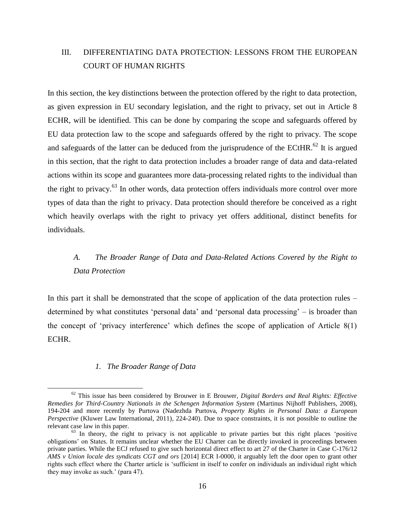### III. DIFFERENTIATING DATA PROTECTION: LESSONS FROM THE EUROPEAN COURT OF HUMAN RIGHTS

In this section, the key distinctions between the protection offered by the right to data protection, as given expression in EU secondary legislation, and the right to privacy, set out in Article 8 ECHR, will be identified. This can be done by comparing the scope and safeguards offered by EU data protection law to the scope and safeguards offered by the right to privacy. The scope and safeguards of the latter can be deduced from the jurisprudence of the ECtHR. $^{62}$  It is argued in this section, that the right to data protection includes a broader range of data and data-related actions within its scope and guarantees more data-processing related rights to the individual than the right to privacy.<sup>63</sup> In other words, data protection offers individuals more control over more types of data than the right to privacy. Data protection should therefore be conceived as a right which heavily overlaps with the right to privacy yet offers additional, distinct benefits for individuals.

## *A. The Broader Range of Data and Data-Related Actions Covered by the Right to Data Protection*

In this part it shall be demonstrated that the scope of application of the data protection rules – determined by what constitutes 'personal data' and 'personal data processing' – is broader than the concept of 'privacy interference' which defines the scope of application of Article 8(1) ECHR.

#### *1. The Broader Range of Data*

<sup>62</sup> This issue has been considered by Brouwer in E Brouwer, *Digital Borders and Real Rights: Effective Remedies for Third-Country Nationals in the Schengen Information System* (Martinus Nijhoff Publishers, 2008), 194-204 and more recently by Purtova (Nadezhda Purtova, *Property Rights in Personal Data: a European Perspective* (Kluwer Law International, 2011), 224-240). Due to space constraints, it is not possible to outline the relevant case law in this paper.

 $63$  In theory, the right to privacy is not applicable to private parties but this right places 'positive obligations' on States. It remains unclear whether the EU Charter can be directly invoked in proceedings between private parties. While the ECJ refused to give such horizontal direct effect to art 27 of the Charter in Case C-176/12 *AMS v Union locale des syndicats CGT and ors* [2014] ECR I-0000, it arguably left the door open to grant other rights such effect where the Charter article is 'sufficient in itself to confer on individuals an individual right which they may invoke as such.' (para 47).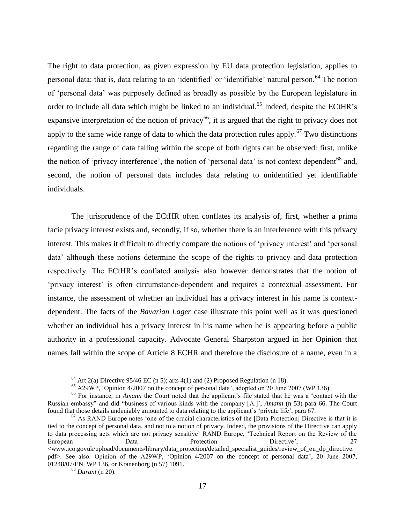The right to data protection, as given expression by EU data protection legislation, applies to personal data: that is, data relating to an 'identified' or 'identifiable' natural person.<sup>64</sup> The notion of 'personal data' was purposely defined as broadly as possible by the European legislature in order to include all data which might be linked to an individual.<sup>65</sup> Indeed, despite the ECtHR's expansive interpretation of the notion of privacy<sup>66</sup>, it is argued that the right to privacy does not apply to the same wide range of data to which the data protection rules apply.<sup>67</sup> Two distinctions regarding the range of data falling within the scope of both rights can be observed: first, unlike the notion of 'privacy interference', the notion of 'personal data' is not context dependent<sup>68</sup> and, second, the notion of personal data includes data relating to unidentified yet identifiable individuals.

The jurisprudence of the ECtHR often conflates its analysis of, first, whether a prima facie privacy interest exists and, secondly, if so, whether there is an interference with this privacy interest. This makes it difficult to directly compare the notions of 'privacy interest' and 'personal data' although these notions determine the scope of the rights to privacy and data protection respectively. The ECtHR's conflated analysis also however demonstrates that the notion of 'privacy interest' is often circumstance-dependent and requires a contextual assessment. For instance, the assessment of whether an individual has a privacy interest in his name is contextdependent. The facts of the *Bavarian Lager* case illustrate this point well as it was questioned whether an individual has a privacy interest in his name when he is appearing before a public authority in a professional capacity. Advocate General Sharpston argued in her Opinion that names fall within the scope of Article 8 ECHR and therefore the disclosure of a name, even in a

 $64$  Art 2(a) Directive 95/46 EC (n 5); arts 4(1) and (2) Proposed Regulation (n 18).

<sup>65</sup> A29WP, 'Opinion 4/2007 on the concept of personal data', adopted on 20 June 2007 (WP 136).

<sup>66</sup> For instance, in *Amann* the Court noted that the applicant's file stated that he was a 'contact with the Russian embassy" and did "business of various kinds with the company [A.]', *Amann* (n 53) para 66. The Court found that those details undeniably amounted to data relating to the applicant's 'private life', para 67.

 $67$  As RAND Europe notes 'one of the crucial characteristics of the [Data Protection] Directive is that it is tied to the concept of personal data, and not to a notion of privacy. Indeed, the provisions of the Directive can apply to data processing acts which are not privacy sensitive' RAND Europe, 'Technical Report on the Review of the European Data Protection Directive', 27 <www.ico.govuk/upload/documents/library/data\_protection/detailed\_specialist\_guides/review\_of\_eu\_dp\_directive. pdf>. See also: Opinion of the A29WP, 'Opinion 4/2007 on the concept of personal data', 20 June 2007, 01248/07/EN WP 136, or Kranenborg (n 57) 1091.

<sup>68</sup> *Durant* (n 20).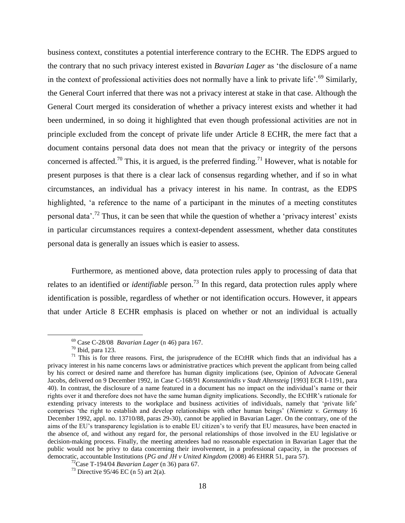business context, constitutes a potential interference contrary to the ECHR. The EDPS argued to the contrary that no such privacy interest existed in *Bavarian Lager* as 'the disclosure of a name in the context of professional activities does not normally have a link to private life'.<sup>69</sup> Similarly, the General Court inferred that there was not a privacy interest at stake in that case. Although the General Court merged its consideration of whether a privacy interest exists and whether it had been undermined, in so doing it highlighted that even though professional activities are not in principle excluded from the concept of private life under Article 8 ECHR, the mere fact that a document contains personal data does not mean that the privacy or integrity of the persons concerned is affected.<sup>70</sup> This, it is argued, is the preferred finding.<sup>71</sup> However, what is notable for present purposes is that there is a clear lack of consensus regarding whether, and if so in what circumstances, an individual has a privacy interest in his name. In contrast, as the EDPS highlighted, 'a reference to the name of a participant in the minutes of a meeting constitutes personal data'.<sup>72</sup> Thus, it can be seen that while the question of whether a 'privacy interest' exists in particular circumstances requires a context-dependent assessment, whether data constitutes personal data is generally an issues which is easier to assess.

Furthermore, as mentioned above, data protection rules apply to processing of data that relates to an identified or *identifiable* person.<sup>73</sup> In this regard, data protection rules apply where identification is possible, regardless of whether or not identification occurs. However, it appears that under Article 8 ECHR emphasis is placed on whether or not an individual is actually

<sup>69</sup> Case C-28/08 *Bavarian Lager* (n 46) para 167.

 $70$  Ibid, para 123.

 $71$  This is for three reasons. First, the jurisprudence of the ECtHR which finds that an individual has a privacy interest in his name concerns laws or administrative practices which prevent the applicant from being called by his correct or desired name and therefore has human dignity implications (see, Opinion of Advocate General Jacobs, delivered on 9 December 1992, in Case C-168/91 *Konstantinidis v Stadt Altensteig* [1993] ECR I-1191, para 40). In contrast, the disclosure of a name featured in a document has no impact on the individual's name or their rights over it and therefore does not have the same human dignity implications. Secondly, the ECtHR's rationale for extending privacy interests to the workplace and business activities of individuals, namely that 'private life' comprises 'the right to establish and develop relationships with other human beings' (*Niemietz v. Germany* 16 December 1992, appl. no. 13710/88, paras 29-30), cannot be applied in Bavarian Lager. On the contrary, one of the aims of the EU's transparency legislation is to enable EU citizen's to verify that EU measures, have been enacted in the absence of, and without any regard for, the personal relationships of those involved in the EU legislative or decision-making process. Finally, the meeting attendees had no reasonable expectation in Bavarian Lager that the public would not be privy to data concerning their involvement, in a professional capacity, in the processes of democratic, accountable Institutions (*PG and JH v United Kingdom* (2008) 46 EHRR 51, para 57).

<sup>72</sup>Case T-194/04 *Bavarian Lager* (n 36) para 67.

<sup>&</sup>lt;sup>73</sup> Directive 95/46 EC (n 5) art 2(a).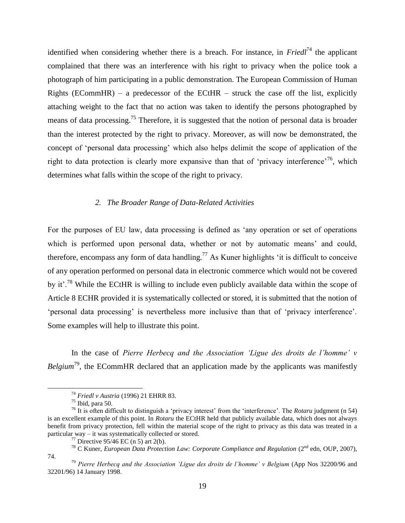identified when considering whether there is a breach. For instance, in *Friedl*<sup>74</sup> the applicant complained that there was an interference with his right to privacy when the police took a photograph of him participating in a public demonstration. The European Commission of Human Rights (ECommHR) – a predecessor of the ECtHR – struck the case off the list, explicitly attaching weight to the fact that no action was taken to identify the persons photographed by means of data processing.<sup>75</sup> Therefore, it is suggested that the notion of personal data is broader than the interest protected by the right to privacy. Moreover, as will now be demonstrated, the concept of 'personal data processing' which also helps delimit the scope of application of the right to data protection is clearly more expansive than that of 'privacy interference'<sup>76</sup>, which determines what falls within the scope of the right to privacy.

#### *2. The Broader Range of Data-Related Activities*

For the purposes of EU law, data processing is defined as 'any operation or set of operations which is performed upon personal data, whether or not by automatic means' and could, therefore, encompass any form of data handling.<sup>77</sup> As Kuner highlights 'it is difficult to conceive of any operation performed on personal data in electronic commerce which would not be covered by it'.<sup>78</sup> While the ECtHR is willing to include even publicly available data within the scope of Article 8 ECHR provided it is systematically collected or stored, it is submitted that the notion of 'personal data processing' is nevertheless more inclusive than that of 'privacy interference'. Some examples will help to illustrate this point.

In the case of *Pierre Herbecq and the Association 'Ligue des droits de l'homme' v Belgium*<sup>79</sup>, the ECommHR declared that an application made by the applicants was manifestly

<sup>74</sup> *Friedl v Austria* (1996) 21 EHRR 83.

 $75$  Ibid, para 50.

<sup>76</sup> It is often difficult to distinguish a 'privacy interest' from the 'interference'. The *Rotaru* judgment (n 54) is an excellent example of this point. In *Rotaru* the ECtHR held that publicly available data, which does not always benefit from privacy protection, fell within the material scope of the right to privacy as this data was treated in a particular way – it was systematically collected or stored.

 $77$  Directive 95/46 EC (n 5) art 2(b).

<sup>&</sup>lt;sup>78</sup> C Kuner, *European Data Protection Law: Corporate Compliance and Regulation* (2<sup>nd</sup> edn, OUP, 2007), 74.

<sup>79</sup> *Pierre Herbecq and the Association 'Ligue des droits de l'homme' v Belgium* (App Nos 32200/96 and 32201/96) 14 January 1998.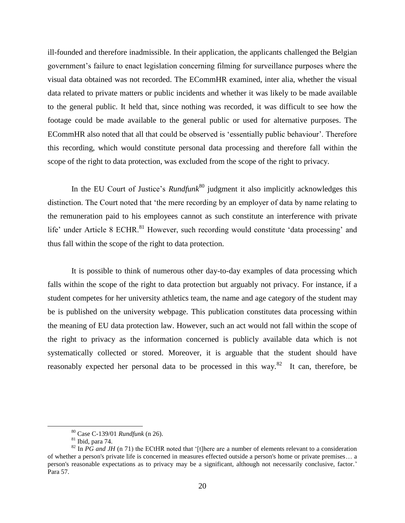ill-founded and therefore inadmissible. In their application, the applicants challenged the Belgian government's failure to enact legislation concerning filming for surveillance purposes where the visual data obtained was not recorded. The ECommHR examined, inter alia, whether the visual data related to private matters or public incidents and whether it was likely to be made available to the general public. It held that, since nothing was recorded, it was difficult to see how the footage could be made available to the general public or used for alternative purposes. The ECommHR also noted that all that could be observed is 'essentially public behaviour'. Therefore this recording, which would constitute personal data processing and therefore fall within the scope of the right to data protection, was excluded from the scope of the right to privacy.

In the EU Court of Justice's *Rundfunk*<sup>80</sup> judgment it also implicitly acknowledges this distinction. The Court noted that 'the mere recording by an employer of data by name relating to the remuneration paid to his employees cannot as such constitute an interference with private life' under Article 8 ECHR.<sup>81</sup> However, such recording would constitute 'data processing' and thus fall within the scope of the right to data protection.

It is possible to think of numerous other day-to-day examples of data processing which falls within the scope of the right to data protection but arguably not privacy. For instance, if a student competes for her university athletics team, the name and age category of the student may be is published on the university webpage. This publication constitutes data processing within the meaning of EU data protection law. However, such an act would not fall within the scope of the right to privacy as the information concerned is publicly available data which is not systematically collected or stored. Moreover, it is arguable that the student should have reasonably expected her personal data to be processed in this way.<sup>82</sup> It can, therefore, be

<sup>80</sup> Case C-139/01 *Rundfunk* (n 26).

<sup>81</sup> Ibid, para 74.

 $82$  In *PG and JH* (n 71) the ECtHR noted that '[t]here are a number of elements relevant to a consideration of whether a person's private life is concerned in measures effected outside a person's home or private premises… a person's reasonable expectations as to privacy may be a significant, although not necessarily conclusive, factor.' Para 57.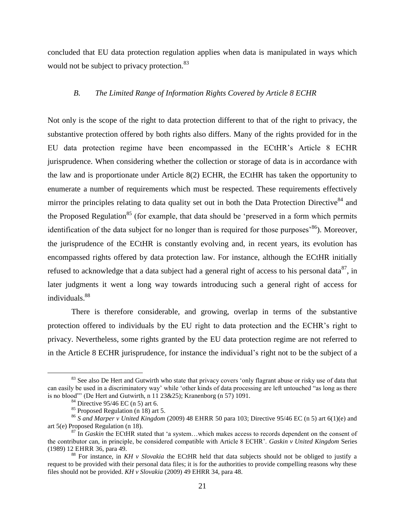concluded that EU data protection regulation applies when data is manipulated in ways which would not be subject to privacy protection.<sup>83</sup>

#### *B. The Limited Range of Information Rights Covered by Article 8 ECHR*

Not only is the scope of the right to data protection different to that of the right to privacy, the substantive protection offered by both rights also differs. Many of the rights provided for in the EU data protection regime have been encompassed in the ECtHR's Article 8 ECHR jurisprudence. When considering whether the collection or storage of data is in accordance with the law and is proportionate under Article 8(2) ECHR, the ECtHR has taken the opportunity to enumerate a number of requirements which must be respected. These requirements effectively mirror the principles relating to data quality set out in both the Data Protection Directive<sup>84</sup> and the Proposed Regulation<sup>85</sup> (for example, that data should be 'preserved in a form which permits identification of the data subject for no longer than is required for those purposes<sup>,  $86$ </sup>). Moreover, the jurisprudence of the ECtHR is constantly evolving and, in recent years, its evolution has encompassed rights offered by data protection law. For instance, although the ECtHR initially refused to acknowledge that a data subject had a general right of access to his personal data<sup>87</sup>, in later judgments it went a long way towards introducing such a general right of access for individuals.<sup>88</sup>

There is therefore considerable, and growing, overlap in terms of the substantive protection offered to individuals by the EU right to data protection and the ECHR's right to privacy. Nevertheless, some rights granted by the EU data protection regime are not referred to in the Article 8 ECHR jurisprudence, for instance the individual's right not to be the subject of a

<sup>&</sup>lt;sup>83</sup> See also De Hert and Gutwirth who state that privacy covers 'only flagrant abuse or risky use of data that can easily be used in a discriminatory way' while 'other kinds of data processing are left untouched "as long as there is no blood"' (De Hert and Gutwirth, n  $11\,23\&25$ ); Kranenborg (n 57) 1091.

 $84$  Directive 95/46 EC (n 5) art 6.

 $85$  Proposed Regulation (n 18) art 5.

<sup>86</sup> *S and Marper v United Kingdom* (2009) 48 EHRR 50 para 103; Directive 95/46 EC (n 5) art 6(1)(e) and art 5(e) Proposed Regulation (n 18).

<sup>87</sup> In *Gaskin* the ECtHR stated that 'a system…which makes access to records dependent on the consent of the contributor can, in principle, be considered compatible with Article 8 ECHR'. *Gaskin v United Kingdom* Series (1989) 12 EHRR 36, para 49.

<sup>88</sup> For instance, in *KH v Slovakia* the ECtHR held that data subjects should not be obliged to justify a request to be provided with their personal data files; it is for the authorities to provide compelling reasons why these files should not be provided. *KH v Slovakia* (2009) 49 EHRR 34, para 48.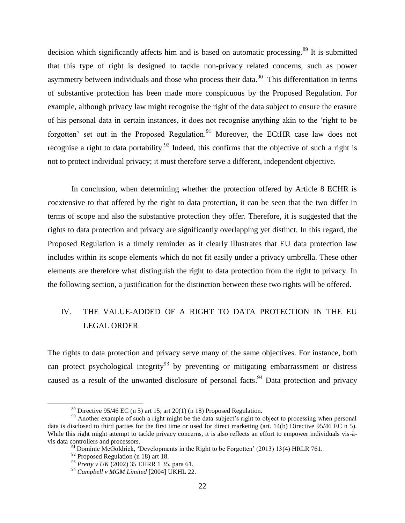decision which significantly affects him and is based on automatic processing.<sup>89</sup> It is submitted that this type of right is designed to tackle non-privacy related concerns, such as power asymmetry between individuals and those who process their data.<sup>90</sup> This differentiation in terms of substantive protection has been made more conspicuous by the Proposed Regulation. For example, although privacy law might recognise the right of the data subject to ensure the erasure of his personal data in certain instances, it does not recognise anything akin to the 'right to be forgotten' set out in the Proposed Regulation.<sup>91</sup> Moreover, the ECtHR case law does not recognise a right to data portability.<sup>92</sup> Indeed, this confirms that the objective of such a right is not to protect individual privacy; it must therefore serve a different, independent objective.

In conclusion, when determining whether the protection offered by Article 8 ECHR is coextensive to that offered by the right to data protection, it can be seen that the two differ in terms of scope and also the substantive protection they offer. Therefore, it is suggested that the rights to data protection and privacy are significantly overlapping yet distinct. In this regard, the Proposed Regulation is a timely reminder as it clearly illustrates that EU data protection law includes within its scope elements which do not fit easily under a privacy umbrella. These other elements are therefore what distinguish the right to data protection from the right to privacy. In the following section, a justification for the distinction between these two rights will be offered.

# IV. THE VALUE-ADDED OF A RIGHT TO DATA PROTECTION IN THE EU LEGAL ORDER

The rights to data protection and privacy serve many of the same objectives. For instance, both can protect psychological integrity<sup>93</sup> by preventing or mitigating embarrassment or distress caused as a result of the unwanted disclosure of personal facts.<sup>94</sup> Data protection and privacy

<sup>&</sup>lt;sup>89</sup> Directive 95/46 EC (n 5) art 15; art 20(1) (n 18) Proposed Regulation.

<sup>&</sup>lt;sup>90</sup> Another example of such a right might be the data subject's right to object to processing when personal data is disclosed to third parties for the first time or used for direct marketing (art. 14(b) Directive 95/46 EC n 5). While this right might attempt to tackle privacy concerns, it is also reflects an effort to empower individuals vis-àvis data controllers and processors.

**<sup>91</sup>** Dominic McGoldrick, 'Developments in the Right to be Forgotten' (2013) 13(4) HRLR 761.

 $92$  Proposed Regulation (n 18) art 18.

<sup>93</sup> *Pretty v UK* (2002) 35 EHRR 1 35, para 61.

<sup>94</sup> *Campbell v MGM Limited* [2004] UKHL 22.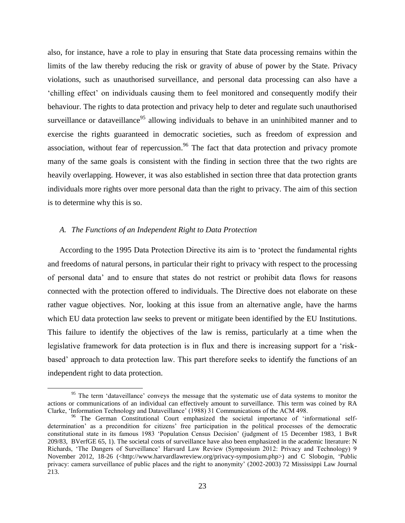also, for instance, have a role to play in ensuring that State data processing remains within the limits of the law thereby reducing the risk or gravity of abuse of power by the State. Privacy violations, such as unauthorised surveillance, and personal data processing can also have a 'chilling effect' on individuals causing them to feel monitored and consequently modify their behaviour. The rights to data protection and privacy help to deter and regulate such unauthorised surveillance or dataveillance<sup>95</sup> allowing individuals to behave in an uninhibited manner and to exercise the rights guaranteed in democratic societies, such as freedom of expression and association, without fear of repercussion.<sup>96</sup> The fact that data protection and privacy promote many of the same goals is consistent with the finding in section three that the two rights are heavily overlapping. However, it was also established in section three that data protection grants individuals more rights over more personal data than the right to privacy. The aim of this section is to determine why this is so.

#### *A. The Functions of an Independent Right to Data Protection*

 $\overline{a}$ 

According to the 1995 Data Protection Directive its aim is to 'protect the fundamental rights and freedoms of natural persons, in particular their right to privacy with respect to the processing of personal data' and to ensure that states do not restrict or prohibit data flows for reasons connected with the protection offered to individuals. The Directive does not elaborate on these rather vague objectives. Nor, looking at this issue from an alternative angle, have the harms which EU data protection law seeks to prevent or mitigate been identified by the EU Institutions. This failure to identify the objectives of the law is remiss, particularly at a time when the legislative framework for data protection is in flux and there is increasing support for a 'riskbased' approach to data protection law. This part therefore seeks to identify the functions of an independent right to data protection.

<sup>&</sup>lt;sup>95</sup> The term 'dataveillance' conveys the message that the systematic use of data systems to monitor the actions or communications of an individual can effectively amount to surveillance. This term was coined by RA Clarke, 'Information Technology and Dataveillance' (1988) 31 Communications of the ACM 498.

<sup>&</sup>lt;sup>96</sup> The German Constitutional Court emphasized the societal importance of 'informational selfdetermination' as a precondition for citizens' free participation in the political processes of the democratic constitutional state in its famous 1983 'Population Census Decision' (judgment of 15 December 1983, 1 BvR 209/83, BVerfGE 65, 1). The societal costs of surveillance have also been emphasized in the academic literature: N Richards, 'The Dangers of Surveillance' Harvard Law Review (Symposium 2012: Privacy and Technology) 9 November 2012, 18-26 (<http://www.harvardlawreview.org/privacy-symposium.php>) and C Slobogin, 'Public privacy: camera surveillance of public places and the right to anonymity' (2002-2003) 72 Mississippi Law Journal 213.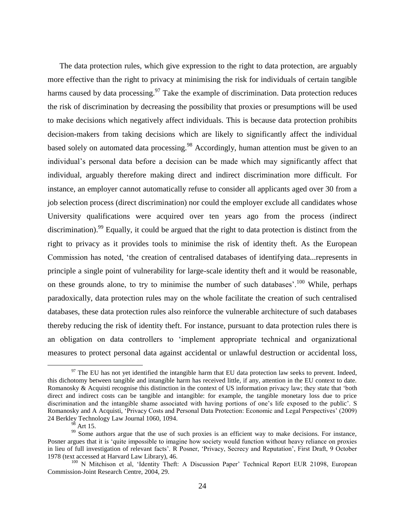The data protection rules, which give expression to the right to data protection, are arguably more effective than the right to privacy at minimising the risk for individuals of certain tangible harms caused by data processing.<sup>97</sup> Take the example of discrimination. Data protection reduces the risk of discrimination by decreasing the possibility that proxies or presumptions will be used to make decisions which negatively affect individuals. This is because data protection prohibits decision-makers from taking decisions which are likely to significantly affect the individual based solely on automated data processing.<sup>98</sup> Accordingly, human attention must be given to an individual's personal data before a decision can be made which may significantly affect that individual, arguably therefore making direct and indirect discrimination more difficult. For instance, an employer cannot automatically refuse to consider all applicants aged over 30 from a job selection process (direct discrimination) nor could the employer exclude all candidates whose University qualifications were acquired over ten years ago from the process (indirect discrimination).<sup>99</sup> Equally, it could be argued that the right to data protection is distinct from the right to privacy as it provides tools to minimise the risk of identity theft. As the European Commission has noted, 'the creation of centralised databases of identifying data...represents in principle a single point of vulnerability for large-scale identity theft and it would be reasonable, on these grounds alone, to try to minimise the number of such databases'.<sup>100</sup> While, perhaps paradoxically, data protection rules may on the whole facilitate the creation of such centralised databases, these data protection rules also reinforce the vulnerable architecture of such databases thereby reducing the risk of identity theft. For instance, pursuant to data protection rules there is an obligation on data controllers to 'implement appropriate technical and organizational measures to protect personal data against accidental or unlawful destruction or accidental loss,

 $97$  The EU has not yet identified the intangible harm that EU data protection law seeks to prevent. Indeed, this dichotomy between tangible and intangible harm has received little, if any, attention in the EU context to date. Romanosky & Acquisti recognise this distinction in the context of US information privacy law; they state that 'both direct and indirect costs can be tangible and intangible: for example, the tangible monetary loss due to price discrimination and the intangible shame associated with having portions of one's life exposed to the public'. S Romanosky and A Acquisti, 'Privacy Costs and Personal Data Protection: Economic and Legal Perspectives' (2009) 24 Berkley Technology Law Journal 1060, 1094.

 $98$  Art 15.

<sup>&</sup>lt;sup>99</sup> Some authors argue that the use of such proxies is an efficient way to make decisions. For instance, Posner argues that it is 'quite impossible to imagine how society would function without heavy reliance on proxies in lieu of full investigation of relevant facts'. R Posner, 'Privacy, Secrecy and Reputation', First Draft, 9 October 1978 (text accessed at Harvard Law Library), 46.

<sup>&</sup>lt;sup>100</sup> N Mitchison et al, 'Identity Theft: A Discussion Paper' Technical Report EUR 21098, European Commission-Joint Research Centre, 2004, 29.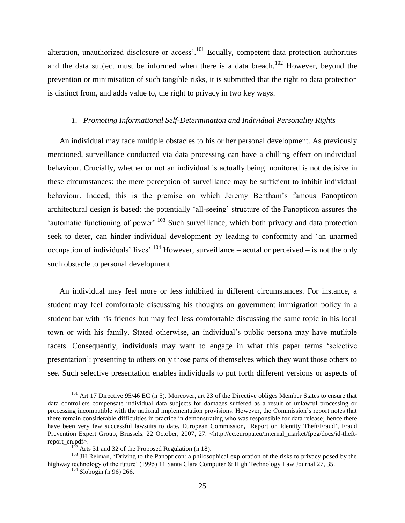alteration, unauthorized disclosure or access'.<sup>101</sup> Equally, competent data protection authorities and the data subject must be informed when there is a data breach.<sup>102</sup> However, beyond the prevention or minimisation of such tangible risks, it is submitted that the right to data protection is distinct from, and adds value to, the right to privacy in two key ways.

#### *1. Promoting Informational Self-Determination and Individual Personality Rights*

An individual may face multiple obstacles to his or her personal development. As previously mentioned, surveillance conducted via data processing can have a chilling effect on individual behaviour. Crucially, whether or not an individual is actually being monitored is not decisive in these circumstances: the mere perception of surveillance may be sufficient to inhibit individual behaviour. Indeed, this is the premise on which Jeremy Bentham's famous Panopticon architectural design is based: the potentially 'all-seeing' structure of the Panopticon assures the 'automatic functioning of power'.<sup>103</sup> Such surveillance, which both privacy and data protection seek to deter, can hinder individual development by leading to conformity and 'an unarmed occupation of individuals' lives'.<sup>104</sup> However, surveillance – acutal or perceived – is not the only such obstacle to personal development.

An individual may feel more or less inhibited in different circumstances. For instance, a student may feel comfortable discussing his thoughts on government immigration policy in a student bar with his friends but may feel less comfortable discussing the same topic in his local town or with his family. Stated otherwise, an individual's public persona may have mutliple facets. Consequently, individuals may want to engage in what this paper terms 'selective presentation': presenting to others only those parts of themselves which they want those others to see. Such selective presentation enables individuals to put forth different versions or aspects of

<sup>&</sup>lt;sup>101</sup> Art 17 Directive 95/46 EC (n 5). Moreover, art 23 of the Directive obliges Member States to ensure that data controllers compensate individual data subjects for damages suffered as a result of unlawful processing or processing incompatible with the national implementation provisions. However, the Commission's report notes that there remain considerable difficulties in practice in demonstrating who was responsible for data release; hence there have been very few successful lawsuits to date. European Commission, 'Report on Identity Theft/Fraud', Fraud Prevention Expert Group, Brussels, 22 October, 2007, 27. <http://ec.europa.eu/internal\_market/fpeg/docs/id-theftreport\_en.pdf>.

<sup>&</sup>lt;sup>2</sup> Arts 31 and 32 of the Proposed Regulation (n 18).

<sup>&</sup>lt;sup>103</sup> JH Reiman, 'Driving to the Panopticon: a philosophical exploration of the risks to privacy posed by the highway technology of the future' (1995) 11 Santa Clara Computer & High Technology Law Journal 27, 35.

 $104$  Slobogin (n 96) 266.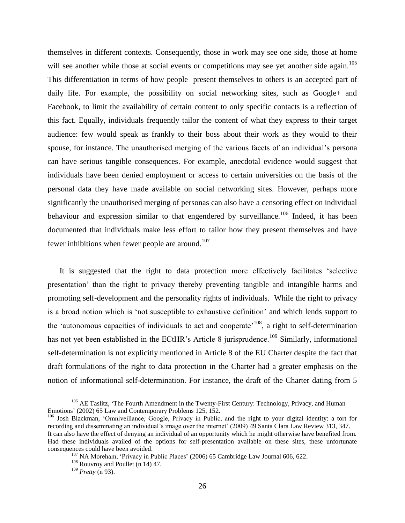themselves in different contexts. Consequently, those in work may see one side, those at home will see another while those at social events or competitions may see yet another side again.<sup>105</sup> This differentiation in terms of how people present themselves to others is an accepted part of daily life. For example, the possibility on social networking sites, such as Google+ and Facebook, to limit the availability of certain content to only specific contacts is a reflection of this fact. Equally, individuals frequently tailor the content of what they express to their target audience: few would speak as frankly to their boss about their work as they would to their spouse, for instance. The unauthorised merging of the various facets of an individual's persona can have serious tangible consequences. For example, anecdotal evidence would suggest that individuals have been denied employment or access to certain universities on the basis of the personal data they have made available on social networking sites. However, perhaps more significantly the unauthorised merging of personas can also have a censoring effect on individual behaviour and expression similar to that engendered by surveillance.<sup>106</sup> Indeed, it has been documented that individuals make less effort to tailor how they present themselves and have fewer inhibitions when fewer people are around.<sup>107</sup>

It is suggested that the right to data protection more effectively facilitates 'selective presentation' than the right to privacy thereby preventing tangible and intangible harms and promoting self-development and the personality rights of individuals. While the right to privacy is a broad notion which is 'not susceptible to exhaustive definition' and which lends support to the 'autonomous capacities of individuals to act and cooperate'<sup>108</sup>, a right to self-determination has not yet been established in the ECtHR's Article 8 jurisprudence.<sup>109</sup> Similarly, informational self-determination is not explicitly mentioned in Article 8 of the EU Charter despite the fact that draft formulations of the right to data protection in the Charter had a greater emphasis on the notion of informational self-determination. For instance, the draft of the Charter dating from 5

<sup>&</sup>lt;sup>105</sup> AE Taslitz, 'The Fourth Amendment in the Twenty-First Century: Technology, Privacy, and Human Emotions' (2002) 65 Law and Contemporary Problems 125, 152.

<sup>106</sup> Josh Blackman, 'Omniveillance, Google, Privacy in Public, and the right to your digital identity: a tort for recording and disseminating an individual's image over the internet' (2009) 49 Santa Clara Law Review 313, 347. It can also have the effect of denying an individual of an opportunity which he might otherwise have benefited from. Had these individuals availed of the options for self-presentation available on these sites, these unfortunate consequences could have been avoided.

<sup>&</sup>lt;sup>107</sup> NA Moreham, 'Privacy in Public Places' (2006) 65 Cambridge Law Journal 606, 622.

<sup>108</sup> Rouvroy and Poullet (n 14) 47.

<sup>109</sup> *Pretty* (n 93).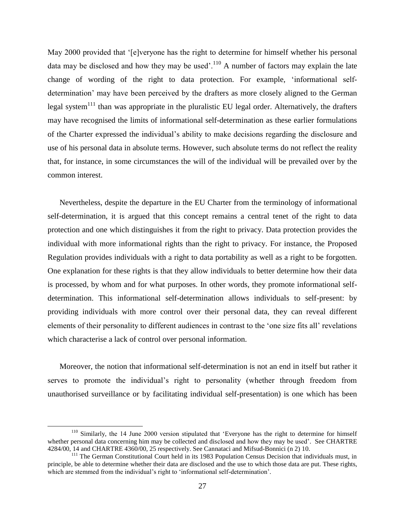May 2000 provided that '[e]veryone has the right to determine for himself whether his personal data may be disclosed and how they may be used'.<sup>110</sup> A number of factors may explain the late change of wording of the right to data protection. For example, 'informational selfdetermination' may have been perceived by the drafters as more closely aligned to the German legal system<sup>111</sup> than was appropriate in the pluralistic EU legal order. Alternatively, the drafters may have recognised the limits of informational self-determination as these earlier formulations of the Charter expressed the individual's ability to make decisions regarding the disclosure and use of his personal data in absolute terms. However, such absolute terms do not reflect the reality that, for instance, in some circumstances the will of the individual will be prevailed over by the common interest.

Nevertheless, despite the departure in the EU Charter from the terminology of informational self-determination, it is argued that this concept remains a central tenet of the right to data protection and one which distinguishes it from the right to privacy. Data protection provides the individual with more informational rights than the right to privacy. For instance, the Proposed Regulation provides individuals with a right to data portability as well as a right to be forgotten. One explanation for these rights is that they allow individuals to better determine how their data is processed, by whom and for what purposes. In other words, they promote informational selfdetermination. This informational self-determination allows individuals to self-present: by providing individuals with more control over their personal data, they can reveal different elements of their personality to different audiences in contrast to the 'one size fits all' revelations which characterise a lack of control over personal information.

Moreover, the notion that informational self-determination is not an end in itself but rather it serves to promote the individual's right to personality (whether through freedom from unauthorised surveillance or by facilitating individual self-presentation) is one which has been

<sup>&</sup>lt;sup>110</sup> Similarly, the 14 June 2000 version stipulated that 'Everyone has the right to determine for himself whether personal data concerning him may be collected and disclosed and how they may be used'. See CHARTRE 4284/00, 14 and CHARTRE 4360/00, 25 respectively. See Cannataci and Mifsud-Bonnici (n 2) 10.

<sup>&</sup>lt;sup>111</sup> The German Constitutional Court held in its 1983 Population Census Decision that individuals must, in principle, be able to determine whether their data are disclosed and the use to which those data are put. These rights, which are stemmed from the individual's right to 'informational self-determination'.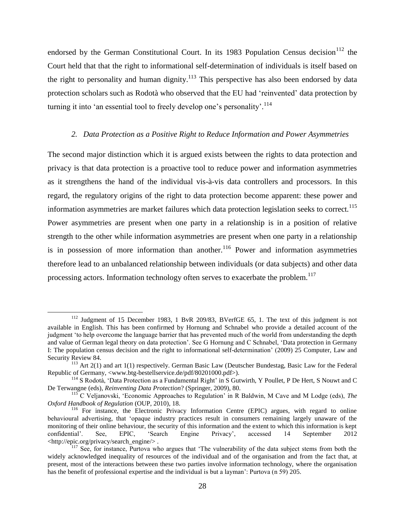endorsed by the German Constitutional Court. In its 1983 Population Census decision<sup>112</sup> the Court held that that the right to informational self-determination of individuals is itself based on the right to personality and human dignity.<sup>113</sup> This perspective has also been endorsed by data protection scholars such as Rodotà who observed that the EU had 'reinvented' data protection by turning it into 'an essential tool to freely develop one's personality'.<sup>114</sup>

#### *2. Data Protection as a Positive Right to Reduce Information and Power Asymmetries*

The second major distinction which it is argued exists between the rights to data protection and privacy is that data protection is a proactive tool to reduce power and information asymmetries as it strengthens the hand of the individual vis-à-vis data controllers and processors. In this regard, the regulatory origins of the right to data protection become apparent: these power and information asymmetries are market failures which data protection legislation seeks to correct.<sup>115</sup> Power asymmetries are present when one party in a relationship is in a position of relative strength to the other while information asymmetries are present when one party in a relationship is in possession of more information than another.<sup>116</sup> Power and information asymmetries therefore lead to an unbalanced relationship between individuals (or data subjects) and other data processing actors. Information technology often serves to exacerbate the problem.<sup>117</sup>

<sup>&</sup>lt;sup>112</sup> Judgment of 15 December 1983, 1 BvR 209/83, BVerfGE 65, 1. The text of this judgment is not available in English. This has been confirmed by Hornung and Schnabel who provide a detailed account of the judgment 'to help overcome the language barrier that has prevented much of the world from understanding the depth and value of German legal theory on data protection'. See G Hornung and C Schnabel, 'Data protection in Germany I: The population census decision and the right to informational self-determination' (2009) 25 Computer, Law and Security Review 84.

<sup>113</sup> Art 2(1) and art 1(1) respectively. German Basic Law (Deutscher Bundestag, Basic Law for the Federal Republic of Germany, <www.btg-bestellservice.de/pdf/80201000.pdf>).

<sup>114</sup> S Rodotà, 'Data Protection as a Fundamental Right' in S Gutwirth, Y Poullet, P De Hert, S Nouwt and C De Terwangne (eds), *Reinventing Data Protection*? (Springer, 2009), 80.

<sup>115</sup> C Veljanovski, 'Economic Approaches to Regulation' in R Baldwin, M Cave and M Lodge (eds), *The Oxford Handbook of Regulation* (OUP, 2010), 18.

<sup>&</sup>lt;sup>116</sup> For instance, the Electronic Privacy Information Centre (EPIC) argues, with regard to online behavioural advertising, that 'opaque industry practices result in consumers remaining largely unaware of the monitoring of their online behaviour, the security of this information and the extent to which this information is kept confidential'. See, EPIC, 'Search Engine Privacy', accessed 14 September 2012 confidential'. See, EPIC, 'Search Engine Privacy', accessed 14 September 2012 <http://epic.org/privacy/search\_engine/> .

<sup>&</sup>lt;sup>117</sup> See, for instance, Purtova who argues that 'The vulnerability of the data subject stems from both the widely acknowledged inequality of resources of the individual and of the organisation and from the fact that, at present, most of the interactions between these two parties involve information technology, where the organisation has the benefit of professional expertise and the individual is but a layman': Purtova (n 59) 205.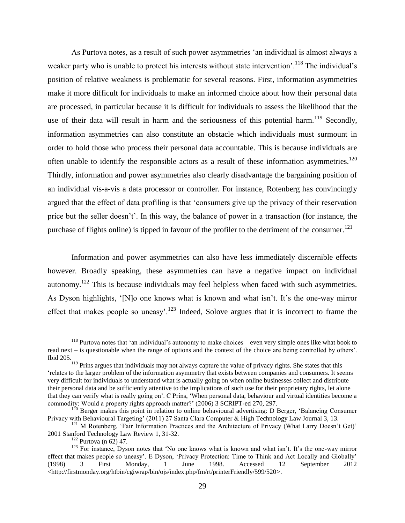As Purtova notes, as a result of such power asymmetries 'an individual is almost always a weaker party who is unable to protect his interests without state intervention'.<sup>118</sup> The individual's position of relative weakness is problematic for several reasons. First, information asymmetries make it more difficult for individuals to make an informed choice about how their personal data are processed, in particular because it is difficult for individuals to assess the likelihood that the use of their data will result in harm and the seriousness of this potential harm.<sup>119</sup> Secondly, information asymmetries can also constitute an obstacle which individuals must surmount in order to hold those who process their personal data accountable. This is because individuals are often unable to identify the responsible actors as a result of these information asymmetries.<sup>120</sup> Thirdly, information and power asymmetries also clearly disadvantage the bargaining position of an individual vis-a-vis a data processor or controller. For instance, Rotenberg has convincingly argued that the effect of data profiling is that 'consumers give up the privacy of their reservation price but the seller doesn't'. In this way, the balance of power in a transaction (for instance, the purchase of flights online) is tipped in favour of the profiler to the detriment of the consumer.<sup>121</sup>

Information and power asymmetries can also have less immediately discernible effects however. Broadly speaking, these asymmetries can have a negative impact on individual autonomy.<sup>122</sup> This is because individuals may feel helpless when faced with such asymmetries. As Dyson highlights, '[N]o one knows what is known and what isn't. It's the one-way mirror effect that makes people so uneasy'.<sup>123</sup> Indeed, Solove argues that it is incorrect to frame the

 $118$  Purtova notes that 'an individual's autonomy to make choices – even very simple ones like what book to read next – is questionable when the range of options and the context of the choice are being controlled by others'. Ibid 205.

 $119$  Prins argues that individuals may not always capture the value of privacy rights. She states that this 'relates to the larger problem of the information asymmetry that exists between companies and consumers. It seems very difficult for individuals to understand what is actually going on when online businesses collect and distribute their personal data and be sufficiently attentive to the implications of such use for their proprietary rights, let alone that they can verify what is really going on'. C Prins, 'When personal data, behaviour and virtual identities become a commodity: Would a property rights approach matter?' (2006) 3 SCRIPT-ed 270, 297.

 $120$  Berger makes this point in relation to online behavioural advertising: D Berger, 'Balancing Consumer Privacy with Behavioural Targeting' (2011) 27 Santa Clara Computer & High Technology Law Journal 3, 13.

 $121$  M Rotenberg, 'Fair Information Practices and the Architecture of Privacy (What Larry Doesn't Get)' 2001 Stanford Technology Law Review 1, 31-32.

<sup>122</sup> Purtova (n 62) 47.

<sup>&</sup>lt;sup>123</sup> For instance, Dyson notes that 'No one knows what is known and what isn't. It's the one-way mirror effect that makes people so uneasy'. E Dyson, 'Privacy Protection: Time to Think and Act Locally and Globally' (1998) 3 First Monday, 1 June 1998. Accessed 12 September 2012 <http://firstmonday.org/htbin/cgiwrap/bin/ojs/index.php/fm/rt/printerFriendly/599/520>.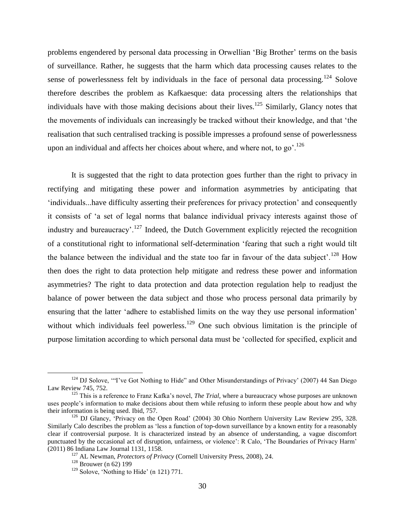problems engendered by personal data processing in Orwellian 'Big Brother' terms on the basis of surveillance. Rather, he suggests that the harm which data processing causes relates to the sense of powerlessness felt by individuals in the face of personal data processing.<sup>124</sup> Solove therefore describes the problem as Kafkaesque: data processing alters the relationships that individuals have with those making decisions about their lives.<sup>125</sup> Similarly, Glancy notes that the movements of individuals can increasingly be tracked without their knowledge, and that 'the realisation that such centralised tracking is possible impresses a profound sense of powerlessness upon an individual and affects her choices about where, and where not, to go'.<sup>126</sup>

It is suggested that the right to data protection goes further than the right to privacy in rectifying and mitigating these power and information asymmetries by anticipating that 'individuals...have difficulty asserting their preferences for privacy protection' and consequently it consists of 'a set of legal norms that balance individual privacy interests against those of industry and bureaucracy'.<sup>127</sup> Indeed, the Dutch Government explicitly rejected the recognition of a constitutional right to informational self-determination 'fearing that such a right would tilt the balance between the individual and the state too far in favour of the data subject'.<sup>128</sup> How then does the right to data protection help mitigate and redress these power and information asymmetries? The right to data protection and data protection regulation help to readjust the balance of power between the data subject and those who process personal data primarily by ensuring that the latter 'adhere to established limits on the way they use personal information' without which individuals feel powerless.<sup>129</sup> One such obvious limitation is the principle of purpose limitation according to which personal data must be 'collected for specified, explicit and

<sup>&</sup>lt;sup>124</sup> DJ Solove, "T've Got Nothing to Hide" and Other Misunderstandings of Privacy' (2007) 44 San Diego Law Review 745, 752.

<sup>125</sup> This is a reference to Franz Kafka's novel, *The Trial*, where a bureaucracy whose purposes are unknown uses people's information to make decisions about them while refusing to inform these people about how and why their information is being used. Ibid, 757.

<sup>&</sup>lt;sup>126</sup> DJ Glancy, 'Privacy on the Open Road' (2004) 30 Ohio Northern University Law Review 295, 328. Similarly Calo describes the problem as 'less a function of top-down surveillance by a known entity for a reasonably clear if controversial purpose. It is characterized instead by an absence of understanding, a vague discomfort punctuated by the occasional act of disruption, unfairness, or violence': R Calo, 'The Boundaries of Privacy Harm' (2011) 86 Indiana Law Journal 1131, 1158.

<sup>127</sup> AL Newman, *Protectors of Privacy* (Cornell University Press, 2008), 24.

<sup>128</sup> Brouwer (n 62) 199

 $129$  Solove, 'Nothing to Hide' (n 121) 771.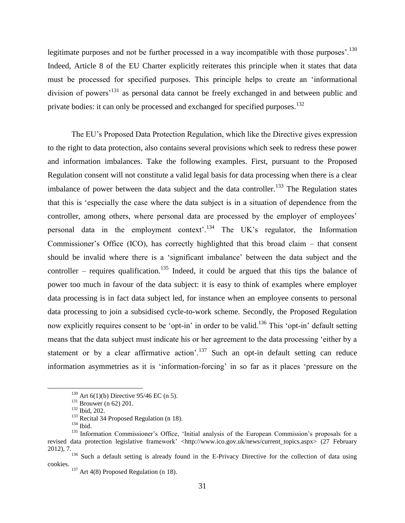legitimate purposes and not be further processed in a way incompatible with those purposes<sup>'.130</sup> Indeed, Article 8 of the EU Charter explicitly reiterates this principle when it states that data must be processed for specified purposes. This principle helps to create an 'informational division of powers<sup>131</sup> as personal data cannot be freely exchanged in and between public and private bodies: it can only be processed and exchanged for specified purposes.<sup>132</sup>

The EU's Proposed Data Protection Regulation, which like the Directive gives expression to the right to data protection, also contains several provisions which seek to redress these power and information imbalances. Take the following examples. First, pursuant to the Proposed Regulation consent will not constitute a valid legal basis for data processing when there is a clear imbalance of power between the data subject and the data controller.<sup>133</sup> The Regulation states that this is 'especially the case where the data subject is in a situation of dependence from the controller, among others, where personal data are processed by the employer of employees' personal data in the employment context<sup> $134$ </sup> The UK's regulator, the Information Commissioner's Office (ICO), has correctly highlighted that this broad claim – that consent should be invalid where there is a 'significant imbalance' between the data subject and the controller – requires qualification.<sup>135</sup> Indeed, it could be argued that this tips the balance of power too much in favour of the data subject: it is easy to think of examples where employer data processing is in fact data subject led, for instance when an employee consents to personal data processing to join a subsidised cycle-to-work scheme. Secondly, the Proposed Regulation now explicitly requires consent to be 'opt-in' in order to be valid.<sup>136</sup> This 'opt-in' default setting means that the data subject must indicate his or her agreement to the data processing 'either by a statement or by a clear affirmative action'.<sup>137</sup> Such an opt-in default setting can reduce information asymmetries as it is 'information-forcing' in so far as it places 'pressure on the

 $130$  Art 6(1)(b) Directive 95/46 EC (n 5).

<sup>&</sup>lt;sup>131</sup> Brouwer (n 62) 201.

<sup>132</sup> Ibid, 202.

<sup>&</sup>lt;sup>133</sup> Recital 34 Proposed Regulation (n 18).

<sup>134</sup> Ibid.

<sup>&</sup>lt;sup>135</sup> Information Commissioner's Office, 'Initial analysis of the European Commission's proposals for a revised data protection legislative framework' <http://www.ico.gov.uk/news/current\_topics.aspx> (27 February 2012), 7.

<sup>&</sup>lt;sup>136</sup> Such a default setting is already found in the E-Privacy Directive for the collection of data using cookies.

 $137$  Art 4(8) Proposed Regulation (n 18).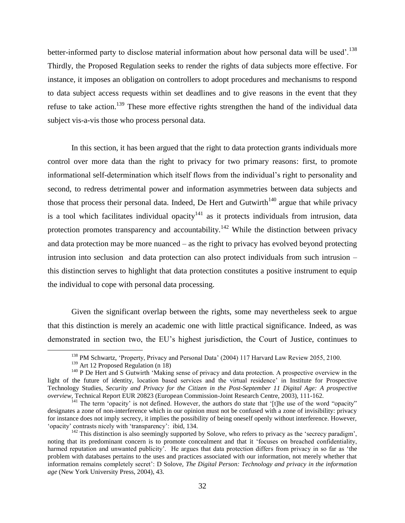better-informed party to disclose material information about how personal data will be used'.<sup>138</sup> Thirdly, the Proposed Regulation seeks to render the rights of data subjects more effective. For instance, it imposes an obligation on controllers to adopt procedures and mechanisms to respond to data subject access requests within set deadlines and to give reasons in the event that they refuse to take action.<sup>139</sup> These more effective rights strengthen the hand of the individual data subject vis-a-vis those who process personal data.

In this section, it has been argued that the right to data protection grants individuals more control over more data than the right to privacy for two primary reasons: first, to promote informational self-determination which itself flows from the individual's right to personality and second, to redress detrimental power and information asymmetries between data subjects and those that process their personal data. Indeed, De Hert and Gutwirth<sup>140</sup> argue that while privacy is a tool which facilitates individual opacity<sup>141</sup> as it protects individuals from intrusion, data protection promotes transparency and accountability.<sup>142</sup> While the distinction between privacy and data protection may be more nuanced – as the right to privacy has evolved beyond protecting intrusion into seclusion and data protection can also protect individuals from such intrusion – this distinction serves to highlight that data protection constitutes a positive instrument to equip the individual to cope with personal data processing.

Given the significant overlap between the rights, some may nevertheless seek to argue that this distinction is merely an academic one with little practical significance. Indeed, as was demonstrated in section two, the EU's highest jurisdiction, the Court of Justice, continues to

<sup>&</sup>lt;sup>138</sup> PM Schwartz, 'Property, Privacy and Personal Data' (2004) 117 Harvard Law Review 2055, 2100.

<sup>&</sup>lt;sup>139</sup> Art 12 Proposed Regulation (n 18)

<sup>&</sup>lt;sup>140</sup> P De Hert and S Gutwirth 'Making sense of privacy and data protection. A prospective overview in the light of the future of identity, location based services and the virtual residence' in Institute for Prospective Technology Studies, *Security and Privacy for the Citizen in the Post-September 11 Digital Age: A prospective overview,* Technical Report EUR 20823 (European Commission-Joint Research Centre, 2003), 111-162.

<sup>&</sup>lt;sup>141</sup> The term 'opacity' is not defined. However, the authors do state that '[t]he use of the word "opacity" designates a zone of non-interference which in our opinion must not be confused with a zone of invisibility: privacy for instance does not imply secrecy, it implies the possibility of being oneself openly without interference. However, 'opacity' contrasts nicely with 'transparency': ibid, 134.

<sup>&</sup>lt;sup>142</sup> This distinction is also seemingly supported by Solove, who refers to privacy as the 'secrecy paradigm', noting that its predominant concern is to promote concealment and that it 'focuses on breached confidentiality, harmed reputation and unwanted publicity'. He argues that data protection differs from privacy in so far as 'the problem with databases pertains to the uses and practices associated with our information, not merely whether that information remains completely secret': D Solove, *The Digital Person: Technology and privacy in the information age* (New York University Press, 2004), 43.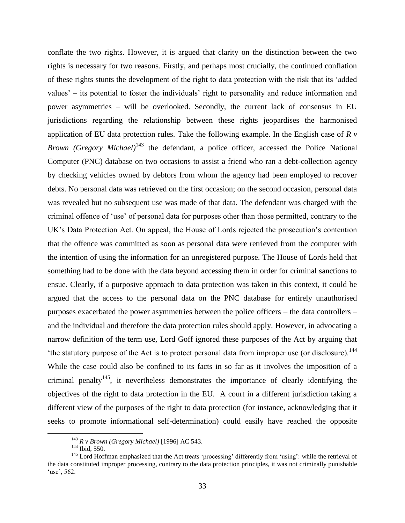conflate the two rights. However, it is argued that clarity on the distinction between the two rights is necessary for two reasons. Firstly, and perhaps most crucially, the continued conflation of these rights stunts the development of the right to data protection with the risk that its 'added values' – its potential to foster the individuals' right to personality and reduce information and power asymmetries – will be overlooked. Secondly, the current lack of consensus in EU jurisdictions regarding the relationship between these rights jeopardises the harmonised application of EU data protection rules. Take the following example. In the English case of *R v Brown (Gregory Michael)*<sup>143</sup> the defendant, a police officer, accessed the Police National Computer (PNC) database on two occasions to assist a friend who ran a debt-collection agency by checking vehicles owned by debtors from whom the agency had been employed to recover debts. No personal data was retrieved on the first occasion; on the second occasion, personal data was revealed but no subsequent use was made of that data. The defendant was charged with the criminal offence of 'use' of personal data for purposes other than those permitted, contrary to the UK's Data Protection Act. On appeal, the House of Lords rejected the prosecution's contention that the offence was committed as soon as personal data were retrieved from the computer with the intention of using the information for an unregistered purpose. The House of Lords held that something had to be done with the data beyond accessing them in order for criminal sanctions to ensue. Clearly, if a purposive approach to data protection was taken in this context, it could be argued that the access to the personal data on the PNC database for entirely unauthorised purposes exacerbated the power asymmetries between the police officers – the data controllers – and the individual and therefore the data protection rules should apply. However, in advocating a narrow definition of the term use, Lord Goff ignored these purposes of the Act by arguing that 'the statutory purpose of the Act is to protect personal data from improper use (or disclosure).<sup>144</sup> While the case could also be confined to its facts in so far as it involves the imposition of a criminal penalty<sup>145</sup>, it nevertheless demonstrates the importance of clearly identifying the objectives of the right to data protection in the EU. A court in a different jurisdiction taking a different view of the purposes of the right to data protection (for instance, acknowledging that it seeks to promote informational self-determination) could easily have reached the opposite

<sup>143</sup> *R v Brown (Gregory Michael)* [1996] AC 543.

<sup>144</sup> Ibid, 550.

<sup>&</sup>lt;sup>145</sup> Lord Hoffman emphasized that the Act treats 'processing' differently from 'using': while the retrieval of the data constituted improper processing, contrary to the data protection principles, it was not criminally punishable 'use', 562.